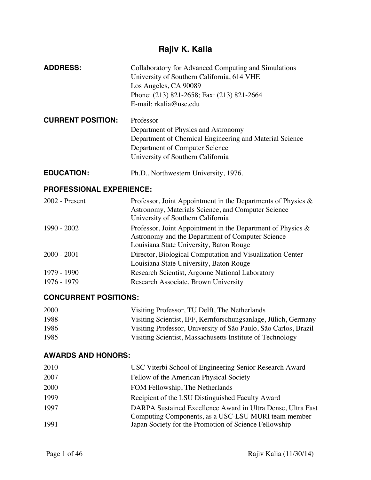# **Rajiv K. Kalia**

| <b>ADDRESS:</b>                 | Collaboratory for Advanced Computing and Simulations<br>University of Southern California, 614 VHE<br>Los Angeles, CA 90089<br>Phone: (213) 821-2658; Fax: (213) 821-2664<br>E-mail: rkalia@usc.edu |
|---------------------------------|-----------------------------------------------------------------------------------------------------------------------------------------------------------------------------------------------------|
| <b>CURRENT POSITION:</b>        | Professor                                                                                                                                                                                           |
|                                 | Department of Physics and Astronomy                                                                                                                                                                 |
|                                 | Department of Chemical Engineering and Material Science                                                                                                                                             |
|                                 | Department of Computer Science                                                                                                                                                                      |
|                                 | University of Southern California                                                                                                                                                                   |
| <b>EDUCATION:</b>               | Ph.D., Northwestern University, 1976.                                                                                                                                                               |
| <b>PROFESSIONAL EXPERIENCE:</b> |                                                                                                                                                                                                     |
| $2002$ - Present                | Professor, Joint Appointment in the Departments of Physics $\&$<br>Astronomy, Materials Science, and Computer Science<br>University of Southern California                                          |
| 1990 - 2002                     | Professor, Joint Appointment in the Department of Physics $\&$<br>Astronomy and the Department of Computer Science<br>Louisiana State University, Baton Rouge                                       |
| $2000 - 2001$                   | Director, Biological Computation and Visualization Center                                                                                                                                           |
|                                 | Louisiana State University, Baton Rouge                                                                                                                                                             |
| 1979 - 1990                     | Research Scientist, Argonne National Laboratory                                                                                                                                                     |
| 1976 - 1979                     | Research Associate, Brown University                                                                                                                                                                |

# **CONCURRENT POSITIONS:**

| 2000 | Visiting Professor, TU Delft, The Netherlands                   |
|------|-----------------------------------------------------------------|
| 1988 | Visiting Scientist, IFF, Kernforschungsanlage, Jülich, Germany  |
| 1986 | Visiting Professor, University of São Paulo, São Carlos, Brazil |
| 1985 | Visiting Scientist, Massachusetts Institute of Technology       |

# **AWARDS AND HONORS:**

| 2010 | USC Viterbi School of Engineering Senior Research Award                                                            |
|------|--------------------------------------------------------------------------------------------------------------------|
| 2007 | Fellow of the American Physical Society                                                                            |
| 2000 | FOM Fellowship, The Netherlands                                                                                    |
| 1999 | Recipient of the LSU Distinguished Faculty Award                                                                   |
| 1997 | DARPA Sustained Excellence Award in Ultra Dense, Ultra Fast<br>Computing Components, as a USC-LSU MURI team member |
| 1991 | Japan Society for the Promotion of Science Fellowship                                                              |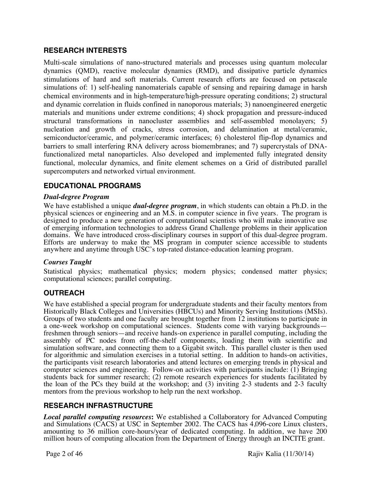## **RESEARCH INTERESTS**

Multi-scale simulations of nano-structured materials and processes using quantum molecular dynamics (QMD), reactive molecular dynamics (RMD), and dissipative particle dynamics stimulations of hard and soft materials. Current research efforts are focused on petascale simulations of: 1) self-healing nanomaterials capable of sensing and repairing damage in harsh chemical environments and in high-temperature/high-pressure operating conditions; 2) structural and dynamic correlation in fluids confined in nanoporous materials; 3) nanoengineered energetic materials and munitions under extreme conditions; 4) shock propagation and pressure-induced structural transformations in nanocluster assemblies and self-assembled monolayers; 5) nucleation and growth of cracks, stress corrosion, and delamination at metal/ceramic, semiconductor/ceramic, and polymer/ceramic interfaces; 6) cholesterol flip-flop dynamics and barriers to small interfering RNA delivery across biomembranes; and 7) supercrystals of DNAfunctionalized metal nanoparticles. Also developed and implemented fully integrated density functional, molecular dynamics, and finite element schemes on a Grid of distributed parallel supercomputers and networked virtual environment.

## **EDUCATIONAL PROGRAMS**

#### *Dual-degree Program*

We have established a unique *dual-degree program*, in which students can obtain a Ph.D. in the physical sciences or engineering and an M.S. in computer science in five years. The program is designed to produce a new generation of computational scientists who will make innovative use of emerging information technologies to address Grand Challenge problems in their application domains. We have introduced cross-disciplinary courses in support of this dual-degree program. Efforts are underway to make the MS program in computer science accessible to students anywhere and anytime through USC's top-rated distance-education learning program.

#### *Courses Taught*

Statistical physics; mathematical physics; modern physics; condensed matter physics; computational sciences; parallel computing.

#### **OUTREACH**

We have established a special program for undergraduate students and their faculty mentors from Historically Black Colleges and Universities (HBCUs) and Minority Serving Institutions (MSIs). Groups of two students and one faculty are brought together from 12 institutions to participate in a one-week workshop on computational sciences. Students come with varying backgrounds freshmen through seniors—and receive hands-on experience in parallel computing, including the assembly of PC nodes from off-the-shelf components, loading them with scientific and simulation software, and connecting them to a Gigabit switch. This parallel cluster is then used for algorithmic and simulation exercises in a tutorial setting. In addition to hands-on activities, the participants visit research laboratories and attend lectures on emerging trends in physical and computer sciences and engineering. Follow-on activities with participants include: (1) Bringing students back for summer research; (2) remote research experiences for students facilitated by the loan of the PCs they build at the workshop; and (3) inviting 2-3 students and 2-3 faculty mentors from the previous workshop to help run the next workshop.

#### **RESEARCH INFRASTRUCTURE**

*Local parallel computing resources***:** We established a Collaboratory for Advanced Computing and Simulations (CACS) at USC in September 2002. The CACS has 4,096-core Linux clusters, amounting to 36 million core-hours/year of dedicated computing. In addition, we have 200 million hours of computing allocation from the Department of Energy through an INCITE grant.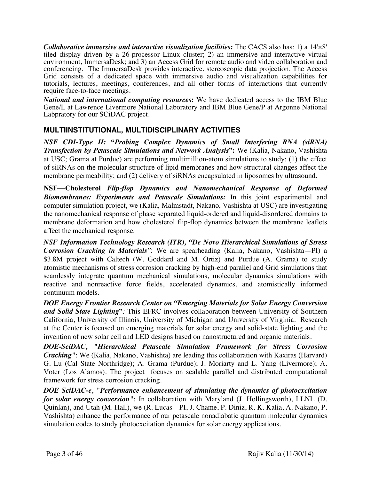*Collaborative immersive and interactive visualization facilities***:** The CACS also has: 1) a 14'×8' tiled display driven by a 26-processor Linux cluster; 2) an immersive and interactive virtual environment, ImmersaDesk; and 3) an Access Grid for remote audio and video collaboration and conferencing. The ImmersaDesk provides interactive, stereoscopic data projection. The Access Grid consists of a dedicated space with immersive audio and visualization capabilities for tutorials, lectures, meetings, conferences, and all other forms of interactions that currently require face-to-face meetings.

*National and international computing resources***:** We have dedicated access to the IBM Blue Gene/L at Lawrence Livermore National Laboratory and IBM Blue Gene/P at Argonne National Labpratory for our SCiDAC project.

# **MULTIINSTITUTIONAL, MULTIDISCIPLINARY ACTIVITIES**

*NSF CDI-Type II:* **"***Probing Complex Dynamics of Small Interfering RNA (siRNA) Transfection by Petascale Simulations and Network Analysis***":** We (Kalia, Nakano, Vashishta at USC; Grama at Purdue) are performing multimillion-atom simulations to study: (1) the effect of siRNAs on the molecular structure of lipid membranes and how structural changes affect the membrane permeability; and (2) delivery of siRNAs encapsulated in liposomes by ultrasound.

**NSF—Cholesterol Flip-flop Dynamics and Nanomechanical Response of Deformed** *Biomembranes: Experiments and Petascale Simulations:* In this joint experimental and computer simulation project, we (Kalia, Malmstadt, Nakano, Vashishta at USC) are investigating the nanomechanical response of phase separated liquid-ordered and liquid-disordered domains to membrane deformation and how cholesterol flip-flop dynamics between the membrane leaflets affect the mechanical response.

*NSF Information Technology Research (ITR), "De Novo Hierarchical Simulations of Stress Corrosion Cracking in Materials"*: We are spearheading (Kalia, Nakano, Vashishta—PI) a \$3.8M project with Caltech (W. Goddard and M. Ortiz) and Purdue (A. Grama) to study atomistic mechanisms of stress corrosion cracking by high-end parallel and Grid simulations that seamlessly integrate quantum mechanical simulations, molecular dynamics simulations with reactive and nonreactive force fields, accelerated dynamics, and atomistically informed continuum models.

*DOE Energy Frontier Research Center on "Emerging Materials for Solar Energy Conversion and Solid State Lighting***"***:* This EFRC involves collaboration between University of Southern California, University of Illinois, University of Michigan and University of Virginia. Research at the Center is focused on emerging materials for solar energy and solid-state lighting and the invention of new solar cell and LED designs based on nanostructured and organic materials.

*DOE-SciDAC, "Hierarchical Petascale Simulation Framework for Stress Corrosion Cracking"*: We (Kalia, Nakano, Vashishta) are leading this collaboration with Kaxiras (Harvard) G. Lu (Cal State Northridge); A. Grama (Purdue); J. Moriarty and L. Yang (Livermore); A. Voter (Los Alamos). The project focuses on scalable parallel and distributed computational framework for stress corrosion cracking.

*DOE SciDAC-e*, *"Performance enhancement of simulating the dynamics of photoexcitation for solar energy conversion"*: In collaboration with Maryland (J. Hollingsworth), LLNL (D. Quinlan), and Utah (M. Hall), we (R. Lucas—PI, J. Chame, P. Diniz, R. K. Kalia, A. Nakano, P. Vashishta) enhance the performance of our petascale nonadiabatic quantum molecular dynamics simulation codes to study photoexcitation dynamics for solar energy applications.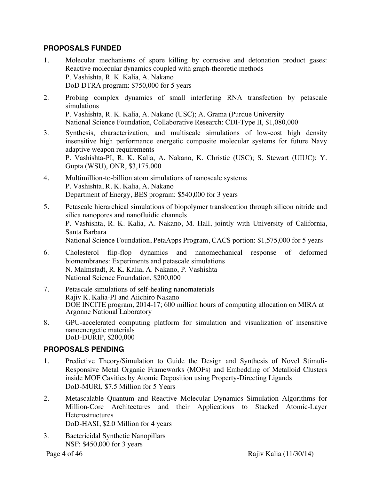## **PROPOSALS FUNDED**

- 1. Molecular mechanisms of spore killing by corrosive and detonation product gases: Reactive molecular dynamics coupled with graph-theoretic methods P. Vashishta, R. K. Kalia, A. Nakano DoD DTRA program: \$750,000 for 5 years
- 2. Probing complex dynamics of small interfering RNA transfection by petascale simulations P. Vashishta, R. K. Kalia, A. Nakano (USC); A. Grama (Purdue University National Science Foundation, Collaborative Research: CDI-Type II, \$1,080,000
- 3. Synthesis, characterization, and multiscale simulations of low-cost high density insensitive high performance energetic composite molecular systems for future Navy adaptive weapon requirements P. Vashishta-PI, R. K. Kalia, A. Nakano, K. Christie (USC); S. Stewart (UIUC); Y. Gupta (WSU), ONR, \$3,175,000
- 4. Multimillion-to-billion atom simulations of nanoscale systems P. Vashishta, R. K. Kalia, A. Nakano Department of Energy, BES program: \$540,000 for 3 years
- 5. Petascale hierarchical simulations of biopolymer translocation through silicon nitride and silica nanopores and nanofluidic channels P. Vashishta, R. K. Kalia, A. Nakano, M. Hall, jointly with University of California, Santa Barbara National Science Foundation, PetaApps Program, CACS portion: \$1,575,000 for 5 years
- 6. Cholesterol flip-flop dynamics and nanomechanical response of deformed biomembranes: Experiments and petascale simulations N. Malmstadt, R. K. Kalia, A. Nakano, P. Vashishta National Science Foundation, \$200,000
- 7. Petascale simulations of self-healing nanomaterials Rajiv K. Kalia-PI and Aiichiro Nakano DOE INCITE program, 2014-17; 600 million hours of computing allocation on MIRA at Argonne National Laboratory
- 8. GPU-accelerated computing platform for simulation and visualization of insensitive nanoenergetic materials DoD-DURIP, \$200,000

# **PROPOSALS PENDING**

- 1. Predictive Theory/Simulation to Guide the Design and Synthesis of Novel Stimuli-Responsive Metal Organic Frameworks (MOFs) and Embedding of Metalloid Clusters inside MOF Cavities by Atomic Deposition using Property-Directing Ligands DoD-MURI, \$7.5 Million for 5 Years
- 2. Metascalable Quantum and Reactive Molecular Dynamics Simulation Algorithms for Million-Core Architectures and their Applications to Stacked Atomic-Layer **Heterostructures** DoD-HASI, \$2.0 Million for 4 years
- 3. Bactericidal Synthetic Nanopillars NSF: \$450,000 for 3 years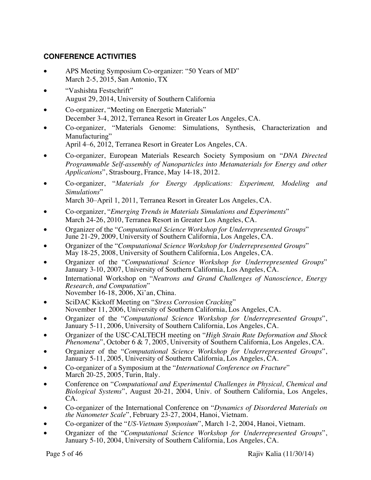# **CONFERENCE ACTIVITIES**

- APS Meeting Symposium Co-organizer: "50 Years of MD" March 2-5, 2015, San Antonio, TX
- "Vashishta Festschrift" August 29, 2014, University of Southern California
- Co-organizer, "Meeting on Energetic Materials" December 3-4, 2012, Terranea Resort in Greater Los Angeles, CA.
- Co-organizer, "Materials Genome: Simulations, Synthesis, Characterization and Manufacturing"
	- April 4–6, 2012, Terranea Resort in Greater Los Angeles, CA.
- Co-organizer, European Materials Research Society Symposium on "*DNA Directed Programmable Self-assembly of Nanoparticles into Metamaterials for Energy and other Applications*", Strasbourg, France, May 14-18, 2012.
- Co-organizer, "*Materials for Energy Applications: Experiment, Modeling and Simulations*"

March 30–April 1, 2011, Terranea Resort in Greater Los Angeles, CA.

- Co-organizer, "*Emerging Trends in Materials Simulations and Experiments*" March 24-26, 2010, Terranea Resort in Greater Los Angeles, CA.
- Organizer of the "*Computational Science Workshop for Underrepresented Groups*" June 21-29, 2009, University of Southern California, Los Angeles, CA.
- Organizer of the "*Computational Science Workshop for Underrepresented Groups*" May 18-25, 2008, University of Southern California, Los Angeles, CA.
- Organizer of the "*Computational Science Workshop for Underrepresented Groups*" January 3-10, 2007, University of Southern California, Los Angeles, CA.
- International Workshop on "*Neutrons and Grand Challenges of Nanoscience*, *Energy Research*, *and Computation*" *Research, and Computation*" November 16-18, 2006, Xi'an, China.
- SciDAC Kickoff Meeting on "*Stress Corrosion Cracking*" November 11, 2006, University of Southern California, Los Angeles, CA.
- Organizer of the "*Computational Science Workshop for Underrepresented Groups*", January 5-11, 2006, University of Southern California, Los Angeles, CA.
- Organizer of the USC-CALTECH meeting on "*High Strain Rate Deformation and Shock Phenomena*", October 6 & 7, 2005, University of Southern California, Los Angeles, CA.
- Organizer of the "*Computational Science Workshop for Underrepresented Groups*", January 5-11, 2005, University of Southern California, Los Angeles, CA.
- Co-organizer of a Symposium at the "*International Conference on Fracture*" March 20-25, 2005, Turin, Italy.
- Conference on "*Computational and Experimental Challenges in Physical, Chemical and Biological Systems*", August 20-21, 2004, Univ. of Southern California, Los Angeles, CA.
- Co-organizer of the International Conference on "*Dynamics of Disordered Materials on the Nanometer Scale*", February 23-27, 2004, Hanoi, Vietnam.
- Co-organizer of the "*US-Vietnam Symposium*", March 1-2, 2004, Hanoi, Vietnam.
- Organizer of the "*Computational Science Workshop for Underrepresented Groups*", January 5-10, 2004, University of Southern California, Los Angeles, CA.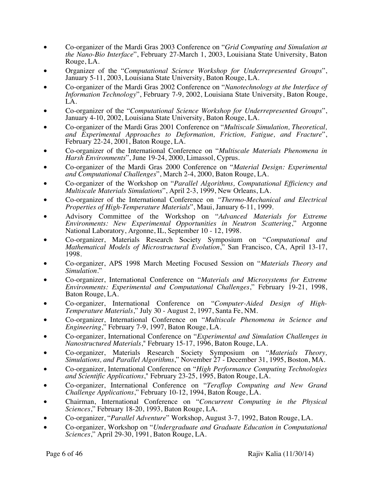- Co-organizer of the Mardi Gras 2003 Conference on "*Grid Computing and Simulation at the Nano-Bio Interface*", February 27-March 1, 2003, Louisiana State University, Baton Rouge, LA.
- Organizer of the "*Computational Science Workshop for Underrepresented Groups*", January 5-11, 2003, Louisiana State University, Baton Rouge, LA.
- Co-organizer of the Mardi Gras 2002 Conference on "*Nanotechnology at the Interface of Information Technology*", February 7-9, 2002, Louisiana State University, Baton Rouge, LA.
- Co-organizer of the "*Computational Science Workshop for Underrepresented Groups*", January 4-10, 2002, Louisiana State University, Baton Rouge, LA.
- Co-organizer of the Mardi Gras 2001 Conference on "*Multiscale Simulation, Theoretical, and Experimental Approaches to Deformation, Friction, Fatigue, and Fracture*", February 22-24, 2001, Baton Rouge, LA.
- Co-organizer of the International Conference on "*Multiscale Materials Phenomena in Harsh Environments*", June 19-24, 2000, Limassol, Cyprus.
- Co-organizer of the Mardi Gras 2000 Conference on "*Material Design: Experimental and Computational Challenges*", March 2-4, 2000, Baton Rouge, LA.
- Co-organizer of the Workshop on "*Parallel Algorithms, Computational Efficiency and Multiscale Materials Simulations*", April 2-3, 1999, New Orleans, LA.
- Co-organizer of the International Conference on *"Thermo-Mechanical and Electrical Properties of High-Temperature Materials*", Maui, January 6-11, 1999.
- Advisory Committee of the Workshop on "*Advanced Materials for Extreme Environments: New Experimental Opportunities in Neutron Scattering*," Argonne National Laboratory, Argonne, IL, September 10 - 12, 1998.
- Co-organizer, Materials Research Society Symposium on "*Computational and Mathematical Models of Microstructural Evolution*," San Francisco, CA, April 13-17, 1998.
- Co-organizer, APS 1998 March Meeting Focused Session on "*Materials Theory and Simulation*."
- Co-organizer, International Conference on "*Materials and Microsystems for Extreme Environments: Experimental and Computational Challenges*," February 19-21, 1998, Baton Rouge, LA.
- Co-organizer, International Conference on "*Computer-Aided Design of High- Temperature Materials*," July 30 August 2, 1997, Santa Fe, NM.
- Co-organizer, International Conference on "*Multiscale Phenomena in Science and Engineering*," February 7-9, 1997, Baton Rouge, LA.
- Co-organizer, International Conference on "*Experimental and Simulation Challenges in Nanostructured Materials*," February 15-17, 1996, Baton Rouge, LA.
- Co-organizer, Materials Research Society Symposium on "*Materials Theory, Simulations, and Parallel Algorithms*," November 27 - December 31, 1995, Boston, MA.
- Co-organizer, International Conference on "*High Performance Computing Technologies and Scientific Applications*," February 23-25, 1995, Baton Rouge, LA.
- Co-organizer, International Conference on "*Teraflop Computing and New Grand Challenge Applications*," February 10-12, 1994, Baton Rouge, LA.
- Chairman, International Conference on "*Concurrent Computing in the Physical Sciences*," February 18-20, 1993, Baton Rouge, LA.
- Co-organizer, "*Parallel Adventure*" Workshop, August 3-7, 1992, Baton Rouge, LA.
- Co-organizer, Workshop on "*Undergraduate and Graduate Education in Computational Sciences*," April 29-30, 1991, Baton Rouge, LA.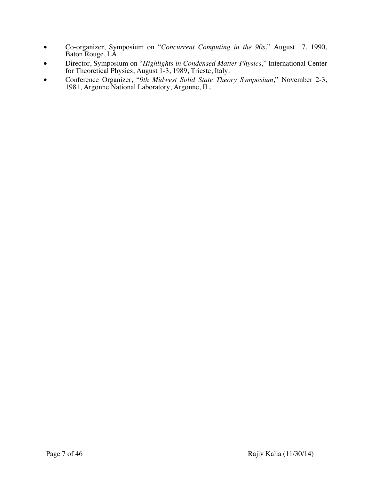- Co-organizer, Symposium on "*Concurrent Computing in the 90s*," August 17, 1990, Baton Rouge, LA.
- Director, Symposium on "*Highlights in Condensed Matter Physics*," International Center for Theoretical Physics, August 1-3, 1989, Trieste, Italy.
- Conference Organizer, "*9th Midwest Solid State Theory Symposium*," November 2-3, 1981, Argonne National Laboratory, Argonne, IL.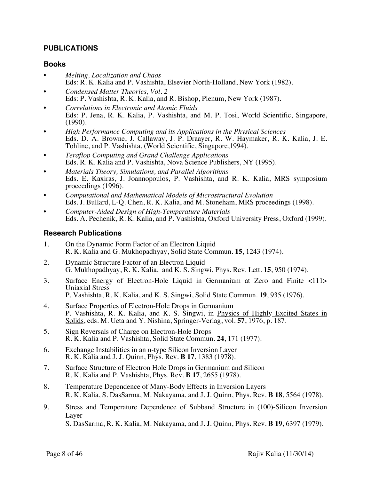## **PUBLICATIONS**

#### **Books**

- *Melting, Localization and Chaos* Eds: R. K. Kalia and P. Vashishta, Elsevier North-Holland, New York (1982).
- *Condensed Matter Theories, Vol. 2* Eds: P. Vashishta, R. K. Kalia, and R. Bishop, Plenum, New York (1987).
- *Correlations in Electronic and Atomic Fluids* Eds: P. Jena, R. K. Kalia, P. Vashishta, and M. P. Tosi, World Scientific, Singapore, (1990).
- *High Performance Computing and its Applications in the Physical Sciences* Eds. D. A. Browne, J. Callaway, J. P. Draayer, R. W. Haymaker, R. K. Kalia, J. E. Tohline, and P. Vashishta, (World Scientific, Singapore,1994).
- *Teraflop Computing and Grand Challenge Applications* Eds. R. K. Kalia and P. Vashishta, Nova Science Publishers, NY (1995).
- *Materials Theory, Simulations, and Parallel Algorithms* Eds. E. Kaxiras, J. Joannopoulos, P. Vashishta, and R. K. Kalia, MRS symposium proceedings (1996).
- *Computational and Mathematical Models of Microstructural Evolution* Eds. J. Bullard, L-Q. Chen, R. K. Kalia, and M. Stoneham, MRS proceedings (1998).
- *Computer-Aided Design of High-Temperature Materials* Eds. A. Pechenik, R. K. Kalia, and P. Vashishta, Oxford University Press, Oxford (1999).

#### **Research Publications**

- 1. On the Dynamic Form Factor of an Electron Liquid R. K. Kalia and G. Mukhopadhyay, Solid State Commun. **15**, 1243 (1974).
- 2. Dynamic Structure Factor of an Electron Liquid G. Mukhopadhyay, R. K. Kalia, and K. S. Singwi, Phys. Rev. Lett. **15**, 950 (1974).
- 3. Surface Energy of Electron-Hole Liquid in Germanium at Zero and Finite <111> Uniaxial Stress P. Vashishta, R. K. Kalia, and K. S. Singwi, Solid State Commun. **19**, 935 (1976).
- 4. Surface Properties of Electron-Hole Drops in Germanium P. Vashishta, R. K. Kalia, and K. S. Singwi, in Physics of Highly Excited States in Solids, eds. M. Ueta and Y. Nishina, Springer-Verlag, vol. **57**, 1976, p. 187.
- 5. Sign Reversals of Charge on Electron-Hole Drops R. K. Kalia and P. Vashishta, Solid State Commun. **24**, 171 (1977).
- 6. Exchange Instabilities in an n-type Silicon Inversion Layer R. K. Kalia and J. J. Quinn, Phys. Rev. **B 17**, 1383 (1978).
- 7. Surface Structure of Electron Hole Drops in Germanium and Silicon R. K. Kalia and P. Vashishta, Phys. Rev. **B 17**, 2655 (1978).
- 8. Temperature Dependence of Many-Body Effects in Inversion Layers R. K. Kalia, S. DasSarma, M. Nakayama, and J. J. Quinn, Phys. Rev. **B 18**, 5564 (1978).
- 9. Stress and Temperature Dependence of Subband Structure in (100)-Silicon Inversion Layer S. DasSarma, R. K. Kalia, M. Nakayama, and J. J. Quinn, Phys. Rev. **B 19**, 6397 (1979).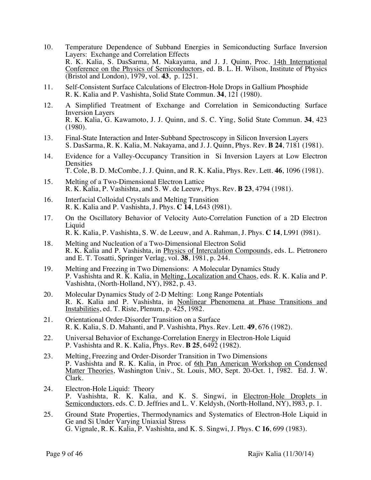- 10. Temperature Dependence of Subband Energies in Semiconducting Surface Inversion Layers: Exchange and Correlation Effects R. K. Kalia, S. DasSarma, M. Nakayama, and J. J. Quinn, Proc. 14th International Conference on the Physics of Semiconductors, ed. B. L. H. Wilson, Institute of Physics (Bristol and London), 1979, vol. **43**, p. 1251.
- 11. Self-Consistent Surface Calculations of Electron-Hole Drops in Gallium Phosphide R. K. Kalia and P. Vashishta, Solid State Commun. **34**, 121 (1980).
- 12. A Simplified Treatment of Exchange and Correlation in Semiconducting Surface Inversion Layers R. K. Kalia, G. Kawamoto, J. J. Quinn, and S. C. Ying, Solid State Commun. **34**, 423 (1980).
- 13. Final-State Interaction and Inter-Subband Spectroscopy in Silicon Inversion Layers S. DasSarma, R. K. Kalia, M. Nakayama, and J. J. Quinn, Phys. Rev. **B 24**, 7181 (1981).
- 14. Evidence for a Valley-Occupancy Transition in Si Inversion Layers at Low Electron Densities T. Cole, B. D. McCombe, J. J. Quinn, and R. K. Kalia, Phys. Rev. Lett. **46**, 1096 (1981).
- 15. Melting of a Two-Dimensional Electron Lattice R. K. Kalia, P. Vashishta, and S. W. de Leeuw, Phys. Rev. **B 23**, 4794 (1981).
- 16. Interfacial Colloidal Crystals and Melting Transition R. K. Kalia and P. Vashishta, J. Phys. **C 14**, L643 (l981).
- 17. On the Oscillatory Behavior of Velocity Auto-Correlation Function of a 2D Electron Liquid R. K. Kalia, P. Vashishta, S. W. de Leeuw, and A. Rahman, J. Phys. **C 14**, L991 (l981).
- 18. Melting and Nucleation of a Two-Dimensional Electron Solid R. K. Kalia and P. Vashishta, in Physics of Intercalation Compounds, eds. L. Pietronero and E. T. Tosatti, Springer Verlag, vol. **38**, 1981, p. 244.
- 19. Melting and Freezing in Two Dimensions: A Molecular Dynamics Study P. Vashishta and R. K. Kalia, in Melting, Localization and Chaos, eds. R. K. Kalia and P. Vashishta, (North-Holland, NY), l982, p. 43.
- 20. Molecular Dynamics Study of 2-D Melting: Long Range Potentials R. K. Kalia and P. Vashishta, in Nonlinear Phenomena at Phase Transitions and Instabilities, ed. T. Riste, Plenum, p. 425, 1982.
- 21. Orientational Order-Disorder Transition on a Surface R. K. Kalia, S. D. Mahanti, and P. Vashishta, Phys. Rev. Lett. **49**, 676 (1982).
- 22. Universal Behavior of Exchange-Correlation Energy in Electron-Hole Liquid P. Vashishta and R. K. Kalia, Phys. Rev. **<sup>B</sup> <sup>25</sup>**, 6492 (1982).
- 23. Melting, Freezing and Order-Disorder Transition in Two Dimensions P. Vashishta and R. K. Kalia, in Proc. of 6th Pan American Workshop on Condensed Matter Theories, Washington Univ., St. Louis, MO, Sept. 20-Oct. 1, 1982. Ed. J. W. Clark.
- 24. Electron-Hole Liquid: Theory P. Vashishta, R. K. Kalia, and K. S. Singwi, in Electron-Hole Droplets in Semiconductors, eds. C. D. Jeffries and L. V. Keldysh, (North-Holland, NY), 1983, p. 1.
- 25. Ground State Properties, Thermodynamics and Systematics of Electron-Hole Liquid in Ge and Si Under Varying Uniaxial Stress G. Vignale, R. K. Kalia, P. Vashishta, and K. S. Singwi, J. Phys. **C 16**, 699 (1983).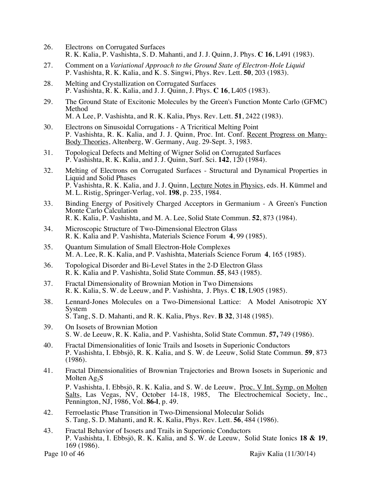- 26. Electrons on Corrugated Surfaces R. K. Kalia, P. Vashishta, S. D. Mahanti, and J. J. Quinn, J. Phys. **C 16**, L491 (1983).
- 27. Comment on a *Variational Approach to the Ground State of Electron-Hole Liquid* P. Vashishta, R. K. Kalia, and K. S. Singwi, Phys. Rev. Lett. **50**, 203 (1983).
- 28. Melting and Crystallization on Corrugated Surfaces P. Vashishta, R. K. Kalia, and J. J. Quinn, J. Phys. **C 16**, L405 (1983).
- 29. The Ground State of Excitonic Molecules by the Green's Function Monte Carlo (GFMC) Method M. A Lee, P. Vashishta, and R. K. Kalia, Phys. Rev. Lett. **51**, 2422 (1983).
- 30. Electrons on Sinusoidal Corrugations A Tricritical Melting Point P. Vashishta, R. K. Kalia, and J. J. Quinn, Proc. Int. Conf. Recent Progress on Many- Body Theories, Altenberg, W. Germany, Aug. 29-Sept. 3, 1983.
- 31. Topological Defects and Melting of Wigner Solid on Corrugated Surfaces P. Vashishta, R. K. Kalia, and J. J. Quinn, Surf. Sci. **142**, 120 (1984).
- 32. Melting of Electrons on Corrugated Surfaces Structural and Dynamical Properties in Liquid and Solid Phases P. Vashishta, R. K. Kalia, and J. J. Quinn, Lecture Notes in Physics, eds. H. Kümmel and M. L. Ristig, Springer-Verlag, vol. **198**, p. 235, 1984.
- 33. Binding Energy of Positively Charged Acceptors in Germanium A Green's Function Monte Carlo Calculation R. K. Kalia, P. Vashishta, and M. A. Lee, Solid State Commun. **52**, 873 (1984).
- 34. Microscopic Structure of Two-Dimensional Electron Glass R. K. Kalia and P. Vashishta, Materials Science Forum **4**, 99 (1985).
- 35. Quantum Simulation of Small Electron-Hole Complexes M. A. Lee, R. K. Kalia, and P. Vashishta, Materials Science Forum **4**, 165 (1985).
- 36. Topological Disorder and Bi-Level States in the 2-D Electron Glass R. K. Kalia and P. Vashishta, Solid State Commun. **55**, 843 (1985).
- 37. Fractal Dimensionality of Brownian Motion in Two Dimensions R. K. Kalia, S. W. de Leeuw, and P. Vashishta, J. Phys. **C 18**, L905 (1985).
- 38. Lennard-Jones Molecules on a Two-Dimensional Lattice: A Model Anisotropic XY System S. Tang, S. D. Mahanti, and R. K. Kalia, Phys. Rev. **B 32**, 3148 (1985).
- 39. On Isosets of Brownian Motion S. W. de Leeuw, R. K. Kalia, and P. Vashishta, Solid State Commun. **57,** 749 (1986).
- 40. Fractal Dimensionalities of Ionic Trails and Isosets in Superionic Conductors P. Vashishta, I. Ebbsjö, R. K. Kalia, and S. W. de Leeuw, Solid State Commun. **59**, 873 (1986).
- 41. Fractal Dimensionalities of Brownian Trajectories and Brown Isosets in Superionic and Molten  $Ag_2S$ P. Vashishta, I. Ebbsjö, R. K. Kalia, and S. W. de Leeuw, Proc. V Int. Symp. on Molten Salts, Las Vegas, NV, October 14-18, 1985, The Electrochemical Society, Inc., Pennington, NJ, 1986, Vol. **86-l**, p. 49.
- 42. Ferroelastic Phase Transition in Two-Dimensional Molecular Solids S. Tang, S. D. Mahanti, and R. K. Kalia, Phys. Rev. Lett. **56**, 484 (1986).
- 43. Fractal Behavior of Isosets and Trails in Superionic Conductors P. Vashishta, I. Ebbsjö, R. K. Kalia, and S. W. de Leeuw, Solid State Ionics **18 & 19**, 169 (1986).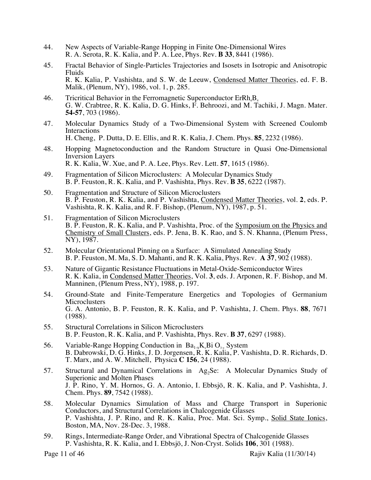- 44. New Aspects of Variable-Range Hopping in Finite One-Dimensional Wires R. A. Serota, R. K. Kalia, and P. A. Lee, Phys. Rev. **B 33**, 8441 (1986).
- 45. Fractal Behavior of Single-Particles Trajectories and Isosets in Isotropic and Anisotropic Fluids R. K. Kalia, P. Vashishta, and S. W. de Leeuw, Condensed Matter Theories, ed. F. B. Malik, (Plenum, NY), 1986, vol. 1, p. 285.
- 46. Tricritical Behavior in the Ferromagnetic Superconductor  $E_r R h_4 B_4$ G. W. Crabtree, R. K. Kalia, D. G. Hinks, F. Behroozi, and M. Tachiki, J. Magn. Mater. **54-57**, 703 (1986).
- 47. Molecular Dynamics Study of a Two-Dimensional System with Screened Coulomb Interactions H. Cheng, P. Dutta, D. E. Ellis, and R. K. Kalia, J. Chem. Phys. **85**, 2232 (1986).
- 48. Hopping Magnetoconduction and the Random Structure in Quasi One-Dimensional Inversion Layers R. K. Kalia, W. Xue, and P. A. Lee, Phys. Rev. Lett. **57**, 1615 (1986).
- 49. Fragmentation of Silicon Microclusters: A Molecular Dynamics Study B. P. Feuston, R. K. Kalia, and P. Vashishta, Phys. Rev. **B 35**, 6222 (1987).
- 50. Fragmentation and Structure of Silicon Microclusters B. P. Feuston, R. K. Kalia, and P. Vashishta, Condensed Matter Theories, vol. **2**, eds. P. Vashishta, R. K. Kalia, and R. F. Bishop, (Plenum, NY), 1987, p. 51.
- 51. Fragmentation of Silicon Microclusters B. P. Feuston, R. K. Kalia, and P. Vashishta, Proc. of the Symposium on the Physics and Chemistry of Small Clusters, eds. P. Jena, B. K. Rao, and S. N. Khanna, (Plenum Press, NY), 1987.
- 52. Molecular Orientational Pinning on a Surface: A Simulated Annealing Study B. P. Feuston, M. Ma, S. D. Mahanti, and R. K. Kalia, Phys. Rev. **A 37**, 902 (1988).
- 53. Nature of Gigantic Resistance Fluctuations in Metal-Oxide-Semiconductor Wires R. K. Kalia, in Condensed Matter Theories, Vol. **3**, eds. J. Arponen, R. F. Bishop, and M. Manninen, (Plenum Press, NY), 1988, p. 197.
- 54. Ground-State and Finite-Temperature Energetics and Topologies of Germanium **Microclusters** G. A. Antonio, B. P. Feuston, R. K. Kalia, and P. Vashishta, J. Chem. Phys. **88**, 7671 (1988).
- 55. Structural Correlations in Silicon Microclusters B. P. Feuston, R. K. Kalia, and P. Vashishta, Phys. Rev. **B 37**, 6297 (1988).
- 56. Variable-Range Hopping Conduction in  $Ba_{1-x}K_xBi\ O_{3-x}$  System B. Dabrowski, D. G. Hinks, J. D. Jorgensen, R. K. Kalia, P. Vashishta, D. R. Richards, D. T. Marx, and A. W. Mitchell, Physica **C 156**, 24 (1988).
- 57. Structural and Dynamical Correlations in Ag<sub>2</sub>Se: A Molecular Dynamics Study of Superionic and Molten Phases J. P. Rino, Y. M. Hornos, G. A. Antonio, I. Ebbsjö, R. K. Kalia, and P. Vashishta, J. Chem. Phys. **89**, 7542 (1988).
- 58. Molecular Dynamics Simulation of Mass and Charge Transport in Superionic Conductors, and Structural Correlations in Chalcogenide Glasses P. Vashishta, J. P. Rino, and R. K. Kalia, Proc. Mat. Sci. Symp., Solid State Ionics, Boston, MA, Nov. 28-Dec. 3, 1988.
- 59. Rings, Intermediate-Range Order, and Vibrational Spectra of Chalcogenide Glasses P. Vashishta, R. K. Kalia, and I. Ebbsjö, J. Non-Cryst. Solids **106**, 301 (1988).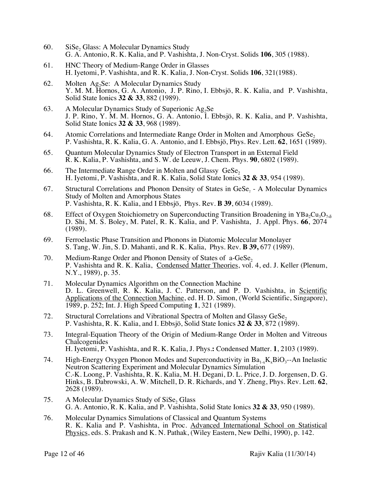- 60. SiSe, Glass: A Molecular Dynamics Study G. A. Antonio, R. K. Kalia, and P. Vashishta, J. Non-Cryst. Solids **106**, 305 (1988).
- 61. HNC Theory of Medium-Range Order in Glasses H. Iyetomi, P. Vashishta, and R. K. Kalia, J. Non-Cryst. Solids **106**, 321(1988).
- 62. Molten Ag<sub>2</sub>Se: A Molecular Dynamics Study Y. M. M. Hornos, G. A. Antonio, J. P. Rino, I. Ebbsjö, R. K. Kalia, and P. Vashishta, Solid State Ionics **32 & 33**, 882 (1989).
- 63. A Molecular Dynamics Study of Superionic  $Ag<sub>2</sub>Se$ J. P. Rino, Y. M. M. Hornos, G. A. Antonio, I. Ebbsjö, R. K. Kalia, and P. Vashishta, Solid State Ionics **32 & 33**, 968 (1989).
- 64. Atomic Correlations and Intermediate Range Order in Molten and Amorphous GeSe<sub>2</sub> P. Vashishta, R. K. Kalia, G. A. Antonio, and I. Ebbsjö, Phys. Rev. Lett. **62**, 1651 (1989).
- 65. Quantum Molecular Dynamics Study of Electron Transport in an External Field R. K. Kalia, P. Vashishta, and S. W. de Leeuw, J. Chem. Phys. **90**, 6802 (1989).
- 66. The Intermediate Range Order in Molten and Glassy  $Ges$ <sub>2</sub>. H. Iyetomi, P. Vashishta, and R. K. Kalia, Solid State Ionics **32 & 33**, 954 (1989).
- 67. Structural Correlations and Phonon Density of States in GeSe, A Molecular Dynamics Study of Molten and Amorphous States P. Vashishta, R. K. Kalia, and I Ebbsjö, Phys. Rev. **B 39**, 6034 (1989).
- 68. Effect of Oxygen Stoichiometry on Superconducting Transition Broadening in YBa<sub>2</sub>Cu<sub>3</sub>O<sub>7-δ</sub> D. Shi, M. S. Boley, M. Patel, R. K. Kalia, and P. Vashishta, J. Appl. Phys. **66**, 2074 (1989).
- 69. Ferroelastic Phase Transition and Phonons in Diatomic Molecular Monolayer S. Tang, W. Jin, S. D. Mahanti, and R. K. Kalia, Phys. Rev. **B 39,** 677 (1989).
- 70. Medium-Range Order and Phonon Density of States of  $a$ -GeSe<sub>2</sub> P. Vashishta and R. K. Kalia, Condensed Matter Theories, vol. 4, ed. J. Keller (Plenum, N.Y., 1989), p. 35.
- 71. Molecular Dynamics Algorithm on the Connection Machine D. L. Greenwell, R. K. Kalia, J. C. Patterson, and P. D. Vashishta, in Scientific Applications of the Connection Machine, ed. H. D. Simon, (World Scientific, Singapore), 1989, p. 252; Int. J. High Speed Computing **1**, 321 (1989).
- 72. Structural Correlations and Vibrational Spectra of Molten and Glassy GeSe, P. Vashishta, R. K. Kalia, and I. Ebbsjö, Solid State Ionics **32 & 33**, 872 (1989).
- 73. Integral-Equation Theory of the Origin of Medium-Range Order in Molten and Vitreous Chalcogenides H. Iyetomi, P. Vashishta, and R. K. Kalia, J. Phys.**:** Condensed Matter. **1**, 2103 (1989).
- 74. High-Energy Oxygen Phonon Modes and Superconductivity in  $Ba_{1-x}K_xBiO_{3}$ --An Inelastic Neutron Scattering Experiment and Molecular Dynamics Simulation C.-K. Loong, P. Vashishta, R. K. Kalia, M. H. Degani, D. L. Price, J. D. Jorgensen, D. G. Hinks, B. Dabrowski, A. W. Mitchell, D. R. Richards, and Y. Zheng, Phys. Rev. Lett. **62**, 2628 (1989).
- 75. A Molecular Dynamics Study of  $Sise_2$  Glass G. A. Antonio, R. K. Kalia, and P. Vashishta, Solid State Ionics **32 & 33**, 950 (1989).
- 76. Molecular Dynamics Simulations of Classical and Quantum Systems R. K. Kalia and P. Vashishta, in Proc. Advanced International School on Statistical Physics, eds. S. Prakash and K. N. Pathak, (Wiley Eastern, New Delhi, 1990), p. 142.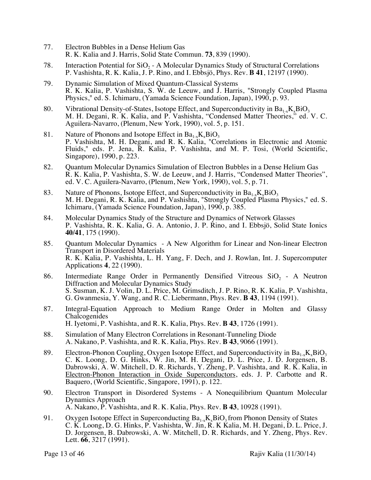- 77. Electron Bubbles in a Dense Helium Gas R. K. Kalia and J. Harris, Solid State Commun. **73**, 839 (1990).
- 78. Interaction Potential for  $SiO<sub>2</sub> A$  Molecular Dynamics Study of Structural Correlations P. Vashishta, R. K. Kalia, J. P. Rino, and I. Ebbsjö, Phys. Rev. **B 41**, 12197 (1990).
- 79. Dynamic Simulation of Mixed Quantum-Classical Systems R. K. Kalia, P. Vashishta, S. W. de Leeuw, and J. Harris, "Strongly Coupled Plasma Physics," ed. S. Ichimaru, (Yamada Science Foundation, Japan), 1990, p. 93.
- 80. Vibrational Density-of-States, Isotope Effect, and Superconductivity in  $Ba_{1-x}K_xBiO_3$ M. H. Degani, R. K. Kalia, and P. Vashishta, "Condensed Matter Theories," ed. V. C. Aguilera-Navarro, (Plenum, New York, 1990), vol. 5, p. 151.
- 81. Nature of Phonons and Isotope Effect in  $Ba_{1-x}K_xBiO_3$ P. Vashishta, M. H. Degani, and R. K. Kalia, "Correlations in Electronic and Atomic Fluids," eds. P. Jena, R. Kalia, P. Vashishta, and M. P. Tosi, (World Scientific, Singapore), 1990, p. 223.
- 82. Quantum Molecular Dynamics Simulation of Electron Bubbles in a Dense Helium Gas R. K. Kalia, P. Vashishta, S. W. de Leeuw, and J. Harris, "Condensed Matter Theories", ed. V. C. Aguilera-Navarro, (Plenum, New York, 1990), vol. 5, p. 71.
- 83. Nature of Phonons, Isotope Effect, and Superconductivity in  $Ba_{1.x}K_xBiO_3$ M. H. Degani, R. K. Kalia, and P. Vashishta, "Strongly Coupled Plasma Physics," ed. S. Ichimaru, (Yamada Science Foundation, Japan), 1990, p. 385.
- 84. Molecular Dynamics Study of the Structure and Dynamics of Network Glasses P. Vashishta, R. K. Kalia, G. A. Antonio, J. P. Rino, and I. Ebbsjö, Solid State Ionics **40/41**, 175 (1990).
- 85. Quantum Molecular Dynamics A New Algorithm for Linear and Non-linear Electron Transport in Disordered Materials R. K. Kalia, P. Vashishta, L. H. Yang, F. Dech, and J. Rowlan, Int. J. Supercomputer Applications **4**, 22 (1990).
- 86. Intermediate Range Order in Permanently Densified Vitreous  $SiO<sub>2</sub>$  A Neutron Diffraction and Molecular Dynamics Study S. Susman, K. J. Volin, D. L. Price, M. Grimsditch, J. P. Rino, R. K. Kalia, P. Vashishta, G. Gwanmesia, Y. Wang, and R. C. Liebermann, Phys. Rev. **B 43**, 1194 (1991).
- 87. Integral-Equation Approach to Medium Range Order in Molten and Glassy Chalcogenides H. Iyetomi, P. Vashishta, and R. K. Kalia, Phys. Rev. **B 43**, 1726 (1991).
- 88. Simulation of Many Electron Correlations in Resonant-Tunneling Diode A. Nakano, P. Vashishta, and R. K. Kalia, Phys. Rev. **B 43**, 9066 (1991).
- 89. Electron-Phonon Coupling, Oxygen Isotope Effect, and Superconductivity in  $Ba_{1-x}K_xBiO_3$ C. K. Loong, D. G. Hinks, W. Jin, M. H. Degani, D. L. Price, J. D. Jorgensen, B. Dabrowski, A. W. Mitchell, D. R. Richards, Y. Zheng, P. Vashishta, and R. K. Kalia, in Electron-Phonon Interaction in Oxide Superconductors, eds. J. P. Carbotte and R. Baquero, (World Scientific, Singapore, 1991), p. 122.
- 90. Electron Transport in Disordered Systems A Nonequilibrium Quantum Molecular Dynamics Approach A. Nakano, P. Vashishta, and R. K. Kalia, Phys. Rev. **B 43**, 10928 (1991).
- 91. Oxygen Isotope Effect in Superconducting  $Ba_{1-x}K_xBiO_3$  from Phonon Density of States C. K. Loong, D. G. Hinks, P. Vashishta, W. Jin, R. K Kalia, M. H. Degani, D. L. Price, J. D. Jorgensen, B. Dabrowski, A. W. Mitchell, D. R. Richards, and Y. Zheng, Phys. Rev. Lett. **66**, 3217 (1991).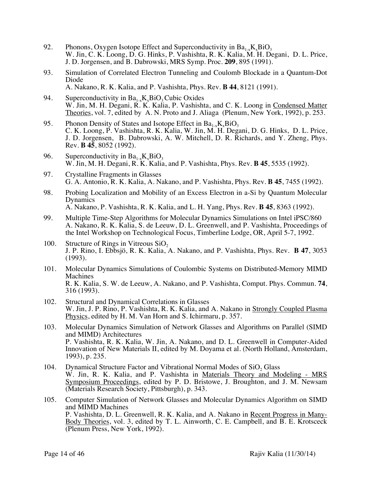- 92. Phonons, Oxygen Isotope Effect and Superconductivity in  $Ba_{1x}K_xBiO_3$ W. Jin, C. K. Loong, D. G. Hinks, P. Vashishta, R. K. Kalia, M. H. Degani, D. L. Price, J. D. Jorgensen, and B. Dabrowski, MRS Symp. Proc. **209**, 895 (1991).
- 93. Simulation of Correlated Electron Tunneling and Coulomb Blockade in a Quantum-Dot Diode A. Nakano, R. K. Kalia, and P. Vashishta, Phys. Rev. **B 44**, 8121 (1991).
- 94. Superconductivity in  $Ba_{1-x}K_xBiO_3$  Cubic Oxides W. Jin, M. H. Degani, R. K. Kalia, P. Vashishta, and C. K. Loong in Condensed Matter Theories, vol. 7, edited by A. N. Proto and J. Aliaga (Plenum, New York, 1992), p. 253.
- 95. Phonon Density of States and Isotope Effect in  $Ba_{1x}K_xBiO_3$ C. K. Loong, P. Vashishta, R. K. Kalia, W. Jin, M. H. Degani, D. G. Hinks, D. L. Price, J. D. Jorgensen, B. Dabrowski, A. W. Mitchell, D. R. Richards, and Y. Zheng, Phys. Rev. **B 45**, 8052 (1992).
- 96. Superconductivity in  $Ba_{1-x}K_xBiO_3$ W. Jin, M. H. Degani, R. K. Kalia, and P. Vashishta, Phys. Rev. **B 45**, 5535 (1992).
- 97. Crystalline Fragments in Glasses G. A. Antonio, R. K. Kalia, A. Nakano, and P. Vashishta, Phys. Rev. **B 45**, 7455 (1992).
- 98. Probing Localization and Mobility of an Excess Electron in a-Si by Quantum Molecular Dynamics A. Nakano, P. Vashishta, R. K. Kalia, and L. H. Yang, Phys. Rev. **B 45**, 8363 (1992).
- 99. Multiple Time-Step Algorithms for Molecular Dynamics Simulations on Intel iPSC/860 A. Nakano, R. K. Kalia, S. de Leeuw, D. L. Greenwell, and P. Vashishta, Proceedings of the Intel Workshop on Technological Focus, Timberline Lodge, OR, April 5-7, 1992.
- 100. Structure of Rings in Vitreous  $SiO<sub>2</sub>$ J. P. Rino, I. Ebbsjö, R. K. Kalia, A. Nakano, and P. Vashishta, Phys. Rev. **B 47**, 3053 (1993).
- 101. Molecular Dynamics Simulations of Coulombic Systems on Distributed-Memory MIMD Machines R. K. Kalia, S. W. de Leeuw, A. Nakano, and P. Vashishta, Comput. Phys. Commun. **74**, 316 (1993).
- 102. Structural and Dynamical Correlations in Glasses W. Jin, J. P. Rino, P. Vashishta, R. K. Kalia, and A. Nakano in Strongly Coupled Plasma Physics, edited by H. M. Van Horn and S. Ichirmaru, p. 357.
- 103. Molecular Dynamics Simulation of Network Glasses and Algorithms on Parallel (SIMD and MIMD) Architectures P. Vashishta, R. K. Kalia, W. Jin, A. Nakano, and D. L. Greenwell in Computer-Aided Innovation of New Materials II, edited by M. Doyama et al. (North Holland, Amsterdam, 1993), p. 235.
- 104. Dynamical Structure Factor and Vibrational Normal Modes of SiO, Glass W. Jin, R. K. Kalia, and P. Vashishta in Materials Theory and Modeling - MRS Symposium Proceedings, edited by P. D. Bristowe, J. Broughton, and J. M. Newsam (Materials Research Society, Pittsburgh), p. 343.
- 105. Computer Simulation of Network Glasses and Molecular Dynamics Algorithm on SIMD and MIMD Machines<br>P. Vashishta, D. L. Greenwell, R. K. Kalia, and A. Nakano in Recent Progress in Many-Body Theories, vol. 3, edited by T. L. Ainworth, C. E. Campbell, and B. E. Krotsceck (Plenum Press, New York, 1992).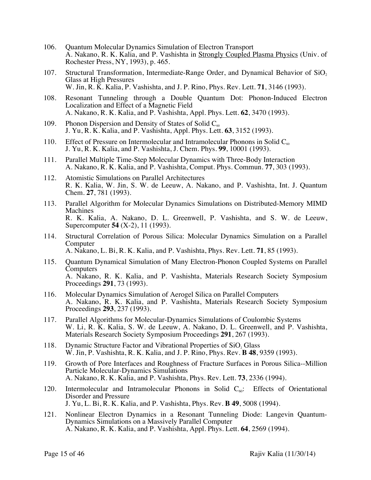- 106. Quantum Molecular Dynamics Simulation of Electron Transport A. Nakano, R. K. Kalia, and P. Vashishta in Strongly Coupled Plasma Physics (Univ. of Rochester Press, NY, 1993), p. 465.
- 107. Structural Transformation, Intermediate-Range Order, and Dynamical Behavior of  $SiO<sub>2</sub>$ Glass at High Pressures W. Jin, R. K. Kalia, P. Vashishta, and J. P. Rino, Phys. Rev. Lett. **71**, 3146 (1993).
- 108. Resonant Tunneling through a Double Quantum Dot: Phonon-Induced Electron Localization and Effect of a Magnetic Field A. Nakano, R. K. Kalia, and P. Vashishta, Appl. Phys. Lett. **62**, 3470 (1993).
- 109. Phonon Dispersion and Density of States of Solid  $C_{60}$ J. Yu, R. K. Kalia, and P. Vashishta, Appl. Phys. Lett. **63**, 3152 (1993).
- 110. Effect of Pressure on Intermolecular and Intramolecular Phonons in Solid C<sub>60</sub> J. Yu, R. K. Kalia, and P. Vashishta, J. Chem. Phys. **99**, 10001 (1993).
- 111. Parallel Multiple Time-Step Molecular Dynamics with Three-Body Interaction A. Nakano, R. K. Kalia, and P. Vashishta, Comput. Phys. Commun. **77**, 303 (1993).
- 112. Atomistic Simulations on Parallel Architectures R. K. Kalia, W. Jin, S. W. de Leeuw, A. Nakano, and P. Vashishta, Int. J. Quantum Chem. **27**, 781 (1993).
- 113. Parallel Algorithm for Molecular Dynamics Simulations on Distributed-Memory MIMD Machines R. K. Kalia, A. Nakano, D. L. Greenwell, P. Vashishta, and S. W. de Leeuw, Supercomputer **54** (X-2), 11 (1993).
- 114. Structural Correlation of Porous Silica: Molecular Dynamics Simulation on a Parallel Computer A. Nakano, L. Bi, R. K. Kalia, and P. Vashishta, Phys. Rev. Lett. **71**, 85 (1993).
- 115. Quantum Dynamical Simulation of Many Electron-Phonon Coupled Systems on Parallel **Computers** A. Nakano, R. K. Kalia, and P. Vashishta, Materials Research Society Symposium Proceedings **291**, 73 (1993).
- 116. Molecular Dynamics Simulation of Aerogel Silica on Parallel Computers A. Nakano, R. K. Kalia, and P. Vashishta, Materials Research Society Symposium Proceedings **293**, 237 (1993).
- 117. Parallel Algorithms for Molecular-Dynamics Simulations of Coulombic Systems W. Li, R. K. Kalia, S. W. de Leeuw, A. Nakano, D. L. Greenwell, and P. Vashishta, Materials Research Society Symposium Proceedings **291**, 267 (1993).
- 118. Dynamic Structure Factor and Vibrational Properties of SiO, Glass W. Jin, P. Vashishta, R. K. Kalia, and J. P. Rino, Phys. Rev. **B 48**, 9359 (1993).
- 119. Growth of Pore Interfaces and Roughness of Fracture Surfaces in Porous Silica--Million Particle Molecular-Dynamics Simulations A. Nakano, R. K. Kalia, and P. Vashishta, Phys. Rev. Lett. **73**, 2336 (1994).
- 120. Intermolecular and Intramolecular Phonons in Solid  $C_{60}$ : Effects of Orientational Disorder and Pressure J. Yu, L. Bi, R. K. Kalia, and P. Vashishta, Phys. Rev. **B 49**, 5008 (1994).
- 121. Nonlinear Electron Dynamics in a Resonant Tunneling Diode: Langevin Quantum- Dynamics Simulations on a Massively Parallel Computer A. Nakano, R. K. Kalia, and P. Vashishta, Appl. Phys. Lett. **64**, 2569 (1994).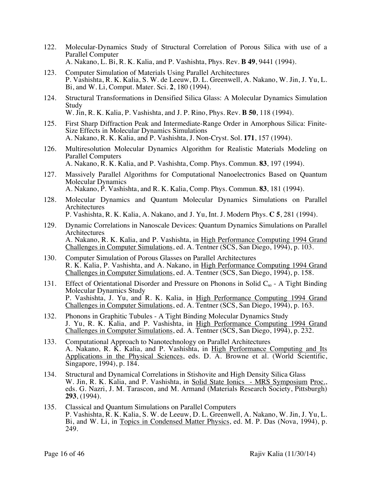- 122. Molecular-Dynamics Study of Structural Correlation of Porous Silica with use of a Parallel Computer A. Nakano, L. Bi, R. K. Kalia, and P. Vashishta, Phys. Rev. **B 49**, 9441 (1994).
- 123. Computer Simulation of Materials Using Parallel Architectures P. Vashishta, R. K. Kalia, S. W. de Leeuw, D. L. Greenwell, A. Nakano, W. Jin, J. Yu, L. Bi, and W. Li, Comput. Mater. Sci. **2**, 180 (1994).
- 124. Structural Transformations in Densified Silica Glass: A Molecular Dynamics Simulation Study W. Jin, R. K. Kalia, P. Vashishta, and J. P. Rino, Phys. Rev. **B 50**, 118 (1994).
- 125. First Sharp Diffraction Peak and Intermediate-Range Order in Amorphous Silica: Finite- Size Effects in Molecular Dynamics Simulations A. Nakano, R. K. Kalia, and P. Vashishta, J. Non-Cryst. Sol. **171**, 157 (1994).
- 126. Multiresolution Molecular Dynamics Algorithm for Realistic Materials Modeling on Parallel Computers A. Nakano, R. K. Kalia, and P. Vashishta, Comp. Phys. Commun. **83**, 197 (1994).
- 127. Massively Parallel Algorithms for Computational Nanoelectronics Based on Quantum Molecular Dynamics A. Nakano, P. Vashishta, and R. K. Kalia, Comp. Phys. Commun. **83**, 181 (1994).
- 128. Molecular Dynamics and Quantum Molecular Dynamics Simulations on Parallel **Architectures** P. Vashishta, R. K. Kalia, A. Nakano, and J. Yu, Int. J. Modern Phys. **C 5**, 281 (1994).
- 129. Dynamic Correlations in Nanoscale Devices: Quantum Dynamics Simulations on Parallel Architectures A. Nakano, R. K. Kalia, and P. Vashishta, in High Performance Computing 1994 Grand Challenges in Computer Simulations, ed. A. Tentner (SCS, San Diego, 1994), p. 103.
- 130. Computer Simulation of Porous Glasses on Parallel Architectures R. K. Kalia, P. Vashishta, and A. Nakano, in High Performance Computing 1994 Grand Challenges in Computer Simulations, ed. A. Tentner (SCS, San Diego, 1994), p. 158.
- 131. Effect of Orientational Disorder and Pressure on Phonons in Solid  $C_{60}$  A Tight Binding Molecular Dynamics Study P. Vashishta, J. Yu, and R. K. Kalia, in High Performance Computing 1994 Grand Challenges in Computer Simulations, ed. A. Tentner (SCS, San Diego, 1994), p. 163.
- 132. Phonons in Graphitic Tubules A Tight Binding Molecular Dynamics Study J. Yu, R. K. Kalia, and P. Vashishta, in High Performance Computing 1994 Grand Challenges in Computer Simulations, ed. A. Tentner (SCS, San Diego, 1994), p. 232.
- 133. Computational Approach to Nanotechnology on Parallel Architectures A. Nakano, R. K. Kalia, and P. Vashishta, in High Performance Computing and Its Applications in the Physical Sciences, eds. D. A. Browne et al. (World Scientific, Singapore, 1994), p. 184.
- 134. Structural and Dynamical Correlations in Stishovite and High Density Silica Glass W. Jin, R. K. Kalia, and P. Vashishta, in Solid State Ionics - MRS Symposium Proc., eds. G. Nazri, J. M. Tarascon, and M. Armand (Materials Research Society, Pittsburgh) **293**, (1994).
- 135. Classical and Quantum Simulations on Parallel Computers P. Vashishta, R. K. Kalia, S. W. de Leeuw, D. L. Greenwell, A. Nakano, W. Jin, J. Yu, L. Bi, and W. Li, in Topics in Condensed Matter Physics, ed. M. P. Das (Nova, 1994), p. 249.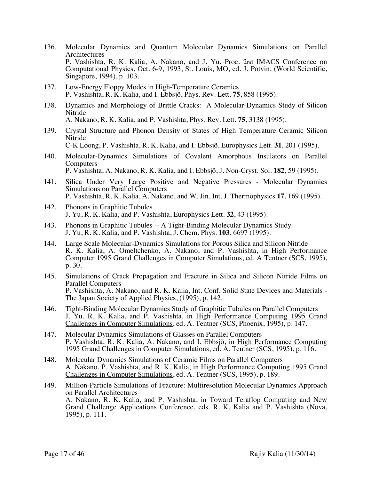- 136. Molecular Dynamics and Quantum Molecular Dynamics Simulations on Parallel **Architectures** P. Vashishta, R. K. Kalia, A. Nakano, and J. Yu, Proc. 2nd IMACS Conference on Computational Physics, Oct. 6-9, 1993, St. Louis, MO, ed. J. Potvin, (World Scientific, Singapore, 1994), p. 103.
- 137. Low-Energy Floppy Modes in High-Temperature Ceramics P. Vashishta, R. K. Kalia, and I. Ebbsjö, Phys. Rev. Lett. **75**, 858 (1995).
- 138. Dynamics and Morphology of Brittle Cracks: A Molecular-Dynamics Study of Silicon Nitride A. Nakano, R. K. Kalia, and P. Vashishta, Phys. Rev. Lett. **75**, 3138 (1995).
- 139. Crystal Structure and Phonon Density of States of High Temperature Ceramic Silicon Nitride

C-K Loong, P. Vashishta, R. K. Kalia, and I. Ebbsjö, Europhysics Lett. **31**, 201 (1995).

- 140. Molecular-Dynamics Simulations of Covalent Amorphous Insulators on Parallel Computers P. Vashishta, A. Nakano, R. K. Kalia, and I. Ebbsjö, J. Non-Cryst. Sol. **182**, 59 (1995).
- 141. Silica Under Very Large Positive and Negative Pressures Molecular Dynamics Simulations on Parallel Computers P. Vashishta, R. K. Kalia, A. Nakano, and W. Jin, Int. J. Thermophysics **17**, 169 (1995).
- 142. Phonons in Graphitic Tubules J. Yu, R. K. Kalia, and P. Vashishta, Europhysics Lett. **32**, 43 (1995).
- 143. Phonons in Graphitic Tubules -- A Tight-Binding Molecular Dynamics Study J. Yu, R. K. Kalia, and P. Vashishta, J. Chem. Phys. **103**, 6697 (1995).
- 144. Large Scale Molecular-Dynamics Simulations for Porous Silica and Silicon Nitride R. K. Kalia, A. Omeltchenko, A. Nakano, and P. Vashishta, in High Performance Computer 1995 Grand Challenges in Computer Simulations, ed. A Tentner (SCS, 1995), p. 30.
- 145. Simulations of Crack Propagation and Fracture in Silica and Silicon Nitride Films on Parallel Computers P. Vashishta, A. Nakano, and R. K. Kalia, Int. Conf. Solid State Devices and Materials - The Japan Society of Applied Physics, (1995), p. 142.
- 146. Tight-Binding Molecular Dynamics Study of Graphitic Tubules on Parallel Computers J. Yu, R. K. Kalia, and P. Vashishta, in High Performance Computing 1995 Grand Challenges in Computer Simulations, ed. A. Tentner (SCS, Phoenix, 1995), p. 147.
- 147. Molecular Dynamics Simulations of Glasses on Parallel Computers P. Vashishta, R. K. Kalia, A. Nakano, and I. Ebbsjö, in High Performance Computing 1995 Grand Challenges in Computer Simulations, ed. A. Tentner (SCS, 1995), p. 116.
- 148. Molecular Dynamics Simulations of Ceramic Films on Parallel Computers A. Nakano, P. Vashishta, and R. K. Kalia, in High Performance Computing 1995 Grand Challenges in Computer Simulations, ed. A. Tentner (SCS, 1995), p. 189.
- 149. Million-Particle Simulations of Fracture: Multiresolution Molecular Dynamics Approach on Parallel Architectures A. Nakano, R. K. Kalia, and P. Vashishta, in Toward Teraflop Computing and New Grand Challenge Applications Conference, eds. R. K. Kalia and P. Vashishta (Nova, 1995), p. 111.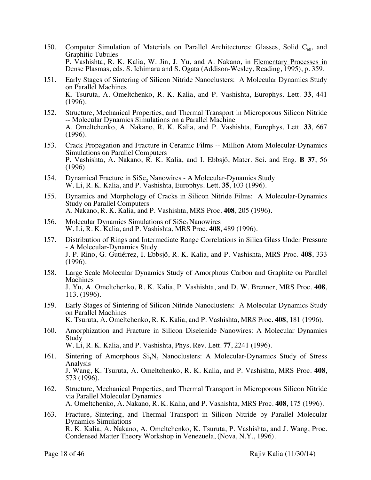- 150. Computer Simulation of Materials on Parallel Architectures: Glasses, Solid  $C_{60}$ , and Graphitic Tubules P. Vashishta, R. K. Kalia, W. Jin, J. Yu, and A. Nakano, in Elementary Processes in Dense Plasmas, eds. S. Ichimaru and S. Ogata (Addison-Wesley, Reading, 1995), p. 359.
- 151. Early Stages of Sintering of Silicon Nitride Nanoclusters: A Molecular Dynamics Study on Parallel Machines K. Tsuruta, A. Omeltchenko, R. K. Kalia, and P. Vashishta, Europhys. Lett. **33**, 441 (1996).
- 152. Structure, Mechanical Properties, and Thermal Transport in Microporous Silicon Nitride -- Molecular Dynamics Simulations on a Parallel Machine A. Omeltchenko, A. Nakano, R. K. Kalia, and P. Vashishta, Europhys. Lett. **33**, 667 (1996).
- 153. Crack Propagation and Fracture in Ceramic Films -- Million Atom Molecular-Dynamics Simulations on Parallel Computers P. Vashishta, A. Nakano, R. K. Kalia, and I. Ebbsjö, Mater. Sci. and Eng. **B 37**, 56 (1996).
- 154. Dynamical Fracture in SiSe, Nanowires A Molecular-Dynamics Study W. Li, R. K. Kalia, and P. Vashishta, Europhys. Lett. **35**, 103 (1996).
- 155. Dynamics and Morphology of Cracks in Silicon Nitride Films: A Molecular-Dynamics Study on Parallel Computers A. Nakano, R. K. Kalia, and P. Vashishta, MRS Proc. **408**, 205 (1996).
- 156. Molecular Dynamics Simulations of SiSe, Nanowires W. Li, R. K. Kalia, and P. Vashishta, MRS Proc. **408**, 489 (1996).
- 157. Distribution of Rings and Intermediate Range Correlations in Silica Glass Under Pressure - A Molecular-Dynamics Study J. P. Rino, G. Gutiérrez, I. Ebbsjö, R. K. Kalia, and P. Vashishta, MRS Proc. **408**, 333 (1996).
- 158. Large Scale Molecular Dynamics Study of Amorphous Carbon and Graphite on Parallel Machines J. Yu, A. Omeltchenko, R. K. Kalia, P. Vashishta, and D. W. Brenner, MRS Proc. **408**, 113. (1996).
- 159. Early Stages of Sintering of Silicon Nitride Nanoclusters: A Molecular Dynamics Study on Parallel Machines K. Tsuruta, A. Omeltchenko, R. K. Kalia, and P. Vashishta, MRS Proc. **408**, 181 (1996).
- 160. Amorphization and Fracture in Silicon Diselenide Nanowires: A Molecular Dynamics Study W. Li, R. K. Kalia, and P. Vashishta, Phys. Rev. Lett. **77**, 2241 (1996).
- 161. Sintering of Amorphous  $Si<sub>3</sub>N<sub>4</sub>$  Nanoclusters: A Molecular-Dynamics Study of Stress Analysis J. Wang, K. Tsuruta, A. Omeltchenko, R. K. Kalia, and P. Vashishta, MRS Proc. **408**, 573 (1996).
- 162. Structure, Mechanical Properties, and Thermal Transport in Microporous Silicon Nitride via Parallel Molecular Dynamics A. Omeltchenko, A. Nakano, R. K. Kalia, and P. Vashishta, MRS Proc. **408**, 175 (1996).
- 163. Fracture, Sintering, and Thermal Transport in Silicon Nitride by Parallel Molecular Dynamics Simulations R. K. Kalia, A. Nakano, A. Omeltchenko, K. Tsuruta, P. Vashishta, and J. Wang, Proc. Condensed Matter Theory Workshop in Venezuela, (Nova, N.Y., 1996).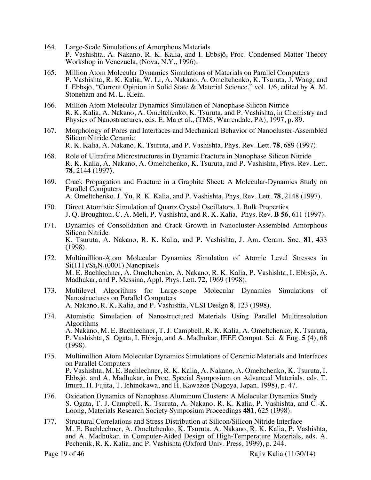- 164. Large-Scale Simulations of Amorphous Materials P. Vashishta, A. Nakano. R. K. Kalia, and I. Ebbsjö, Proc. Condensed Matter Theory Workshop in Venezuela, (Nova, N.Y., 1996).
- 165. Million Atom Molecular Dynamics Simulations of Materials on Parallel Computers P. Vashishta, R. K. Kalia, W. Li, A. Nakano, A. Omeltchenko, K. Tsuruta, J. Wang, and I. Ebbsjö, "Current Opinion in Solid State & Material Science," vol. 1/6, edited by A. M. Stoneham and M. L. Klein.
- 166. Million Atom Molecular Dynamics Simulation of Nanophase Silicon Nitride R. K. Kalia, A. Nakano, A. Omeltchenko, K. Tsuruta, and P. Vashishta, in Chemistry and Physics of Nanostructures, eds. E. Ma et al., (TMS, Warrendale, PA), 1997, p. 89.
- 167. Morphology of Pores and Interfaces and Mechanical Behavior of Nanocluster-Assembled Silicon Nitride Ceramic R. K. Kalia, A. Nakano, K. Tsuruta, and P. Vashishta, Phys. Rev. Lett. **78**, 689 (1997).
- 168. Role of Ultrafine Microstructures in Dynamic Fracture in Nanophase Silicon Nitride R. K. Kalia, A. Nakano, A. Omeltchenko, K. Tsuruta, and P. Vashishta, Phys. Rev. Lett. **78**, 2144 (1997).
- 169. Crack Propagation and Fracture in a Graphite Sheet: A Molecular-Dynamics Study on Parallel Computers A. Omeltchenko, J. Yu, R. K. Kalia, and P. Vashishta, Phys. Rev. Lett. **78**, 2148 (1997).
- 170. Direct Atomistic Simulation of Quartz Crystal Oscillators. I. Bulk Properties J. Q. Broughton, C. A. Meli, P. Vashishta, and R. K. Kalia, Phys. Rev. **B 56**, 611 (1997).
- 171. Dynamics of Consolidation and Crack Growth in Nanocluster-Assembled Amorphous Silicon Nitride K. Tsuruta, A. Nakano, R. K. Kalia, and P. Vashishta, J. Am. Ceram. Soc. **81**, 433 (1998).
- 172. Multimillion-Atom Molecular Dynamics Simulation of Atomic Level Stresses in  $Si(111)/Si<sub>3</sub>N<sub>4</sub>(0001)$  Nanopixels M. E. Bachlechner, A. Omeltchenko, A. Nakano, R. K. Kalia, P. Vashishta, I. Ebbsjö, A. Madhukar, and P. Messina, Appl. Phys. Lett. **72**, 1969 (1998).
- 173. Multilevel Algorithms for Large-scope Molecular Dynamics Simulations of Nanostructures on Parallel Computers A. Nakano, R. K. Kalia, and P. Vashishta, VLSI Design **8**, 123 (1998).
- 174. Atomistic Simulation of Nanostructured Materials Using Parallel Multiresolution Algorithms A. Nakano, M. E. Bachlechner, T. J. Campbell, R. K. Kalia, A. Omeltchenko, K. Tsuruta, P. Vashishta, S. Ogata, I. Ebbsjö, and A. Madhukar, IEEE Comput. Sci. & Eng. **5** (4), 68 (1998).
- 175. Multimillion Atom Molecular Dynamics Simulations of Ceramic Materials and Interfaces on Parallel Computers P. Vashishta, M. E. Bachlechner, R. K. Kalia, A. Nakano, A. Omeltchenko, K. Tsuruta, I. Ebbsjö, and A. Madhukar, in Proc. Special Symposium on Advanced Materials, eds. T. Imura, H. Fujita, T. Ichinokawa, and H. Kawazoe (Nagoya, Japan, 1998), p. 47.
- 176. Oxidation Dynamics of Nanophase Aluminum Clusters: A Molecular Dynamics Study S. Ogata, T. J. Campbell, K. Tsuruta, A. Nakano, R. K. Kalia, P. Vashishta, and C.-K. Loong, Materials Research Society Symposium Proceedings **481**, 625 (1998).
- 177. Structural Correlations and Stress Distribution at Silicon/Silicon Nitride Interface M. E. Bachlechner, A. Omeltchenko, K. Tsuruta, A. Nakano, R. K. Kalia, P. Vashishta, and A. Madhukar, in Computer-Aided Design of High-Temperature Materials, eds. A. Pechenik, R. K. Kalia, and P. Vashishta (Oxford Univ. Press, 1999), p. 244.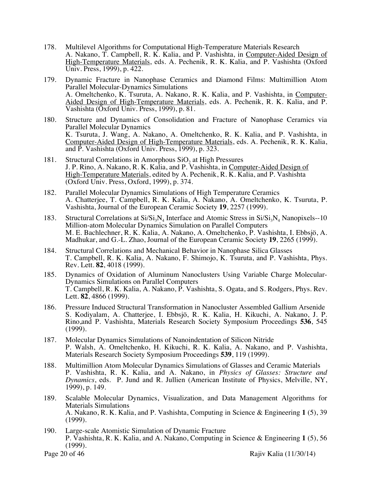- 178. Multilevel Algorithms for Computational High-Temperature Materials Research A. Nakano, T. Campbell, R. K. Kalia, and P. Vashishta, in Computer-Aided Design of High-Temperature Materials, eds. A. Pechenik, R. K. Kalia, and P. Vashishta (Oxford Univ. Press, 1999), p. 422.
- 179. Dynamic Fracture in Nanophase Ceramics and Diamond Films: Multimillion Atom Parallel Molecular-Dynamics Simulations<br>A. Omeltchenko, K. Tsuruta, A. Nakano, R. K. Kalia, and P. Vashishta, in Computer-Aided Design of High-Temperature Materials, eds. A. Pechenik, R. K. Kalia, and P. Vashishta (Oxford Univ. Press, 1999), p. 81.
- 180. Structure and Dynamics of Consolidation and Fracture of Nanophase Ceramics via Parallel Molecular Dynamics K. Tsuruta, J. Wang, A. Nakano, A. Omeltchenko, R. K. Kalia, and P. Vashishta, in Computer-Aided Design of High-Temperature Materials, eds. A. Pechenik, R. K. Kalia, and P. Vashishta (Oxford Univ. Press, 1999), p. 323.
- 181. Structural Correlations in Amorphous  $SiO<sub>2</sub>$  at High Pressures J. P. Rino, A. Nakano, R. K. Kalia, and P. Vashishta, in Computer-Aided Design of High-Temperature Materials, edited by A. Pechenik, R. K. Kalia, and P. Vashishta (Oxford Univ. Press, Oxford, 1999), p. 374.
- 182. Parallel Molecular Dynamics Simulations of High Temperature Ceramics A. Chatterjee, T. Campbell, R. K. Kalia, A. Nakano, A. Omeltchenko, K. Tsuruta, P. Vashishta, Journal of the European Ceramic Society **19**, 2257 (1999).
- 183. Structural Correlations at  $Si/Si<sub>3</sub>N<sub>4</sub>$  Interface and Atomic Stress in  $Si/Si<sub>3</sub>N<sub>4</sub>$  Nanopixels--10 Million-atom Molecular Dynamics Simulation on Parallel Computers M. E. Bachlechner, R. K. Kalia, A. Nakano, A. Omeltchenko, P. Vashishta, I. Ebbsjö, A. Madhukar, and G.-L. Zhao, Journal of the European Ceramic Society **19**, 2265 (1999).
- 184. Structural Correlations and Mechanical Behavior in Nanophase Silica Glasses T. Campbell, R. K. Kalia, A. Nakano, F. Shimojo, K. Tsuruta, and P. Vashishta, Phys. Rev. Lett. **82**, 4018 (1999).
- 185. Dynamics of Oxidation of Aluminum Nanoclusters Using Variable Charge Molecular- Dynamics Simulations on Parallel Computers T. Campbell, R. K. Kalia, A. Nakano, P. Vashishta, S. Ogata, and S. Rodgers, Phys. Rev. Lett. **82**, 4866 (1999).
- 186. Pressure Induced Structural Transformation in Nanocluster Assembled Gallium Arsenide S. Kodiyalam, A. Chatterjee, I. Ebbsjö, R. K. Kalia, H. Kikuchi, A. Nakano, J. P. Rino,and P. Vashishta, Materials Research Society Symposium Proceedings **536**, 545 (1999).
- 187. Molecular Dynamics Simulations of Nanoindentation of Silicon Nitride P. Walsh, A. Omeltchenko, H. Kikuchi, R. K. Kalia, A. Nakano, and P. Vashishta, Materials Research Society Symposium Proceedings **539**, 119 (1999).
- 188. Multimillion Atom Molecular Dynamics Simulations of Glasses and Ceramic Materials P. Vashishta, R. K. Kalia, and A. Nakano, in *Physics of Glasses: Structure and Dynamics*, eds. P. Jund and R. Jullien (American Institute of Physics, Melville, NY, 1999), p. 149.
- 189. Scalable Molecular Dynamics, Visualization, and Data Management Algorithms for Materials Simulations A. Nakano, R. K. Kalia, and P. Vashishta, Computing in Science & Engineering **1** (5), 39 (1999).
- 190. Large-scale Atomistic Simulation of Dynamic Fracture P. Vashishta, R. K. Kalia, and A. Nakano, Computing in Science & Engineering **1** (5), 56 (1999).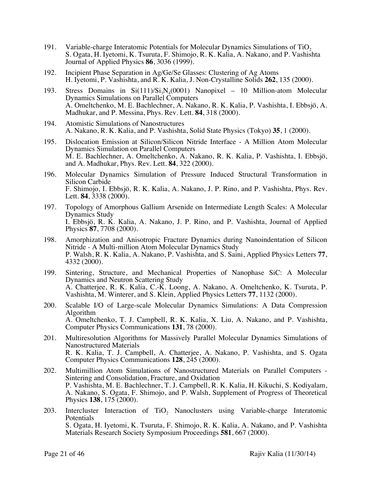- 191. Variable-charge Interatomic Potentials for Molecular Dynamics Simulations of TiO<sub>2</sub> S. Ogata, H. Iyetomi, K. Tsuruta, F. Shimojo, R. K. Kalia, A. Nakano, and P. Vashishta Journal of Applied Physics **86**, 3036 (1999).
- 192. Incipient Phase Separation in Ag/Ge/Se Glasses: Clustering of Ag Atoms H. Iyetomi, P. Vashishta, and R. K. Kalia, J. Non-Crystalline Solids **262**, 135 (2000).
- 193. Stress Domains in  $Si(111)/Si<sub>3</sub>N<sub>4</sub>(0001)$  Nanopixel 10 Million-atom Molecular Dynamics Simulations on Parallel Computers A. Omeltchenko, M. E. Bachlechner, A. Nakano, R. K. Kalia, P. Vashishta, I. Ebbsjö, A. Madhukar, and P. Messina, Phys. Rev. Lett. **84**, 318 (2000).
- 194. Atomistic Simulations of Nanostructures A. Nakano, R. K. Kalia, and P. Vashishta, Solid State Physics (Tokyo) **35**, 1 (2000).
- 195. Dislocation Emission at Silicon/Silicon Nitride Interface A Million Atom Molecular Dynamics Simulation on Parallel Computers M. E. Bachlechner, A. Omeltchenko, A. Nakano, R. K. Kalia, P. Vashishta, I. Ebbsjö, and A. Madhukar, Phys. Rev. Lett. **84**, 322 (2000).
- 196. Molecular Dynamics Simulation of Pressure Induced Structural Transformation in Silicon Carbide F. Shimojo, I. Ebbsjö, R. K. Kalia, A. Nakano, J. P. Rino, and P. Vashishta, Phys. Rev. Lett. **84**, 3338 (2000).
- 197. Topology of Amorphous Gallium Arsenide on Intermediate Length Scales: A Molecular Dynamics Study I. Ebbsjö, R. K. Kalia, A. Nakano, J. P. Rino, and P. Vashishta, Journal of Applied Physics **87**, 7708 (2000).
- 198. Amorphization and Anisotropic Fracture Dynamics during Nanoindentation of Silicon Nitride - A Multi-million Atom Molecular Dynamics Study P. Walsh, R. K. Kalia, A. Nakano, P. Vashishta, and S. Saini, Applied Physics Letters **77**, 4332 (2000).
- 199. Sintering, Structure, and Mechanical Properties of Nanophase SiC: A Molecular Dynamics and Neutron Scattering Study A. Chatterjee, R. K. Kalia, C.-K. Loong, A. Nakano, A. Omeltchenko, K. Tsuruta, P. Vashishta, M. Winterer, and S. Klein, Applied Physics Letters **77**, 1132 (2000).
- 200. Scalable I/O of Large-scale Molecular Dynamics Simulations: A Data Compression Algorithm A. Omeltchenko, T. J. Campbell, R. K. Kalia, X. Liu, A. Nakano, and P. Vashishta, Computer Physics Communications **131**, 78 (2000).
- 201. Multiresolution Algorithms for Massively Parallel Molecular Dynamics Simulations of Nanostructured Materials R. K. Kalia, T. J. Campbell, A. Chatterjee, A. Nakano, P. Vashishta, and S. Ogata Computer Physics Communications **128**, 245 (2000).
- 202. Multimillion Atom Simulations of Nanostructured Materials on Parallel Computers Sintering and Consolidation, Fracture, and Oxidation P. Vashishta, M. E. Bachlechner, T. J. Campbell, R. K. Kalia, H. Kikuchi, S. Kodiyalam, A. Nakano, S. Ogata, F. Shimojo, and P. Walsh, Supplement of Progress of Theoretical Physics **138**, 175 (2000).
- 203. Intercluster Interaction of TiO<sub>2</sub> Nanoclusters using Variable-charge Interatomic Potentials S. Ogata, H. Iyetomi, K. Tsuruta, F. Shimojo, R. K. Kalia, A. Nakano, and P. Vashishta Materials Research Society Symposium Proceedings **581**, 667 (2000).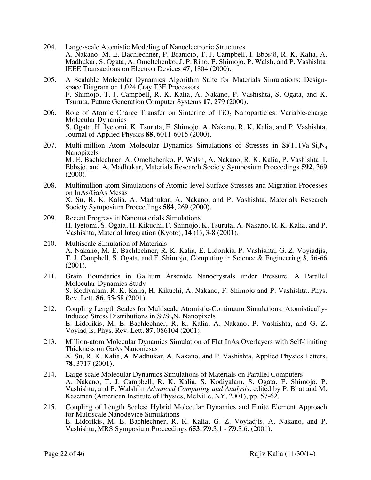- 204. Large-scale Atomistic Modeling of Nanoelectronic Structures A. Nakano, M. E. Bachlechner, P. Branicio, T. J. Campbell, I. Ebbsjö, R. K. Kalia, A. Madhukar, S. Ogata, A. Omeltchenko, J. P. Rino, F. Shimojo, P. Walsh, and P. Vashishta IEEE Transactions on Electron Devices **47**, 1804 (2000).
- 205. A Scalable Molecular Dynamics Algorithm Suite for Materials Simulations: Design- space Diagram on 1,024 Cray T3E Processors F. Shimojo, T. J. Campbell, R. K. Kalia, A. Nakano, P. Vashishta, S. Ogata, and K. Tsuruta, Future Generation Computer Systems **17**, 279 (2000).
- 206. Role of Atomic Charge Transfer on Sintering of TiO<sub>2</sub> Nanoparticles: Variable-charge Molecular Dynamics S. Ogata, H. Iyetomi, K. Tsuruta, F. Shimojo, A. Nakano, R. K. Kalia, and P. Vashishta, Journal of Applied Physics **88**, 6011-6015 (2000).
- 207. Multi-million Atom Molecular Dynamics Simulations of Stresses in  $Si(111)/a-Si<sub>3</sub>N<sub>4</sub>$ Nanopixels M. E. Bachlechner, A. Omeltchenko, P. Walsh, A. Nakano, R. K. Kalia, P. Vashishta, I. Ebbsjö, and A. Madhukar, Materials Research Society Symposium Proceedings **592**, 369 (2000).
- 208. Multimillion-atom Simulations of Atomic-level Surface Stresses and Migration Processes on InAs/GaAs Mesas X. Su, R. K. Kalia, A. Madhukar, A. Nakano, and P. Vashishta, Materials Research Society Symposium Proceedings **584**, 269 (2000).
- 209. Recent Progress in Nanomaterials Simulations H. Iyetomi, S. Ogata, H. Kikuchi, F. Shimojo, K. Tsuruta, A. Nakano, R. K. Kalia, and P. Vashishta, Material Integration (Kyoto), **14** (1), 3-8 (2001).
- 210. Multiscale Simulation of Materials A. Nakano, M. E. Bachlechner, R. K. Kalia, E. Lidorikis, P. Vashishta, G. Z. Voyiadjis, T. J. Campbell, S. Ogata, and F. Shimojo, Computing in Science & Engineering **3**, 56-66  $(2001)$ .
- 211. Grain Boundaries in Gallium Arsenide Nanocrystals under Pressure: A Parallel Molecular-Dynamics Study S. Kodiyalam, R. K. Kalia, H. Kikuchi, A. Nakano, F. Shimojo and P. Vashishta, Phys. Rev. Lett. **86**, 55-58 (2001).
- 212. Coupling Length Scales for Multiscale Atomistic-Continuum Simulations: Atomistically-<br>Induced Stress Distributions in  $Si/Si_3N_4$  Nanopixels E. Lidorikis, M. E. Bachlechner, R. K. Kalia, A. Nakano, P. Vashishta, and G. Z. Voyiadjis, Phys. Rev. Lett. **87**, 086104 (2001).
- 213. Million-atom Molecular Dynamics Simulation of Flat InAs Overlayers with Self-limiting Thickness on GaAs Nanomesas X. Su, R. K. Kalia, A. Madhukar, A. Nakano, and P. Vashishta, Applied Physics Letters, **78**, 3717 (2001).
- 214. Large-scale Molecular Dynamics Simulations of Materials on Parallel Computers A. Nakano, T. J. Campbell, R. K. Kalia, S. Kodiyalam, S. Ogata, F. Shimojo, P. Vashishta, and P. Walsh in *Advanced Computing and Analysis*, edited by P. Bhat and M. Kaseman (American Institute of Physics, Melville, NY, 2001), pp. 57-62.
- 215. Coupling of Length Scales: Hybrid Molecular Dynamics and Finite Element Approach for Multiscale Nanodevice Simulations E. Lidorikis, M. E. Bachlechner, R. K. Kalia, G. Z. Voyiadjis, A. Nakano, and P. Vashishta, MRS Symposium Proceedings **653**, Z9.3.1 - Z9.3.6, (2001).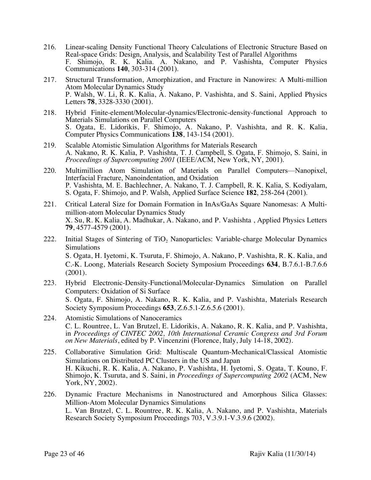- 216. Linear-scaling Density Functional Theory Calculations of Electronic Structure Based on Real-space Grids: Design, Analysis, and Scalability Test of Parallel Algorithms F. Shimojo, R. K. Kalia. A. Nakano, and P. Vashishta, Computer Physics Communications **140**, 303-314 (2001).
- 217. Structural Transformation, Amorphization, and Fracture in Nanowires: A Multi-million Atom Molecular Dynamics Study P. Walsh, W. Li, R. K. Kalia, A. Nakano, P. Vashishta, and S. Saini, Applied Physics Letters **78**, 3328-3330 (2001).
- 218. Hybrid Finite-element/Molecular-dynamics/Electronic-density-functional Approach to Materials Simulations on Parallel Computers S. Ogata, E. Lidorikis, F. Shimojo, A. Nakano, P. Vashishta, and R. K. Kalia, Computer Physics Communications **138**, 143-154 (2001).
- 219. Scalable Atomistic Simulation Algorithms for Materials Research A. Nakano, R. K. Kalia, P. Vashishta, T. J. Campbell, S. Ogata, F. Shimojo, S. Saini, in *Proceedings of Supercomputing 2001* (IEEE/ACM, New York, NY, 2001).
- 220. Multimillion Atom Simulation of Materials on Parallel Computers—Nanopixel, Interfacial Fracture, Nanoindentation, and Oxidation P. Vashishta, M. E. Bachlechner, A. Nakano, T. J. Campbell, R. K. Kalia, S. Kodiyalam, S. Ogata, F. Shimojo, and P. Walsh, Applied Surface Science **182**, 258-264 (2001).
- 221. Critical Lateral Size for Domain Formation in InAs/GaAs Square Nanomesas: A Multimillion-atom Molecular Dynamics Study X. Su, R. K. Kalia, A. Madhukar, A. Nakano, and P. Vashishta , Applied Physics Letters **79**, 4577-4579 (2001).
- 222. Initial Stages of Sintering of TiO<sub>2</sub> Nanoparticles: Variable-charge Molecular Dynamics Simulations S. Ogata, H. Iyetomi, K. Tsuruta, F. Shimojo, A. Nakano, P. Vashishta, R. K. Kalia, and C.-K. Loong, Materials Research Society Symposium Proceedings **634**, B.7.6.1-B.7.6.6 (2001).
- 223. Hybrid Electronic-Density-Functional/Molecular-Dynamics Simulation on Parallel Computers: Oxidation of Si Surface S. Ogata, F. Shimojo, A. Nakano, R. K. Kalia, and P. Vashishta, Materials Research Society Symposium Proceedings **653**, Z.6.5.1-Z.6.5.6 (2001).
- 224. Atomistic Simulations of Nanoceramics C. L. Rountree, L. Van Brutzel, E. Lidorikis, A. Nakano, R. K. Kalia, and P. Vashishta, in *Proceedings of CINTEC 2002, 10th International Ceramic Congress and 3rd Forum on New Materials*, edited by P. Vincenzini (Florence, Italy, July 14-18, 2002).
- 225. Collaborative Simulation Grid: Multiscale Quantum-Mechanical/Classical Atomistic Simulations on Distributed PC Clusters in the US and Japan H. Kikuchi, R. K. Kalia, A. Nakano, P. Vashishta, H. Iyetomi, S. Ogata, T. Kouno, F. Shimojo, K. Tsuruta, and S. Saini, in *Proceedings of Supercomputing 2002* (ACM, New York, NY, 2002).
- 226. Dynamic Fracture Mechanisms in Nanostructured and Amorphous Silica Glasses: Million-Atom Molecular Dynamics Simulations L. Van Brutzel, C. L. Rountree, R. K. Kalia, A. Nakano, and P. Vashishta, Materials Research Society Symposium Proceedings 703, V.3.9.1-V.3.9.6 (2002).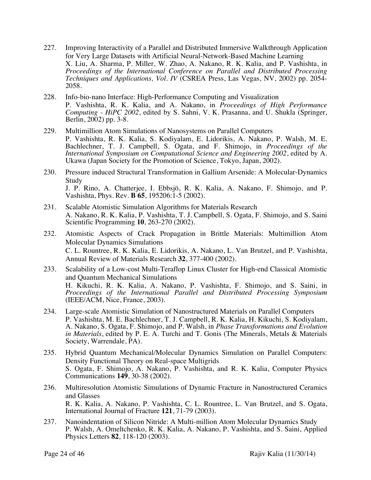- 227. Improving Interactivity of a Parallel and Distributed Immersive Walkthrough Application for Very Large Datasets with Artificial Neural-Network-Based Machine Learning X. Liu, A. Sharma, P. Miller, W. Zhao, A. Nakano, R. K. Kalia, and P. Vashishta, in *Proceedings of the International Conference on Parallel and Distributed Processing Techniques and Applications, Vol. IV* (CSREA Press, Las Vegas, NV, 2002) pp. 2054- 2058.
- 228. Info-bio-nano Interface: High-Performance Computing and Visualization P. Vashishta, R. K. Kalia, and A. Nakano, in *Proceedings of High Performance Computing - HiPC 2002*, edited by S. Sahni, V. K. Prasanna, and U. Shukla (Springer, Berlin, 2002) pp. 3-8.
- 229. Multimillion Atom Simulations of Nanosystems on Parallel Computers P. Vashishta, R. K. Kalia, S. Kodiyalam, E. Lidorikis, A. Nakano, P. Walsh, M. E. Bachlechner, T. J. Campbell, S. Ogata, and F. Shimojo, in *Proceedings of the International Symposium on Computational Science and Engineering 2002*, edited by A. Ukawa (Japan Society for the Promotion of Science, Tokyo, Japan, 2002).
- 230. Pressure induced Structural Transformation in Gallium Arsenide: A Molecular-Dynamics **Study** J. P. Rino, A. Chatterjee, I. Ebbsjö, R. K. Kalia, A. Nakano, F. Shimojo, and P. Vashishta, Phys. Rev. **B 65**, 195206:1-5 (2002).
- 231. Scalable Atomistic Simulation Algorithms for Materials Research A. Nakano, R. K. Kalia, P. Vashishta, T. J. Campbell, S. Ogata, F. Shimojo, and S. Saini Scientific Programming **10**, 263-270 (2002).
- 232. Atomistic Aspects of Crack Propagation in Brittle Materials: Multimillion Atom Molecular Dynamics Simulations C. L. Rountree, R. K. Kalia, E. Lidorikis, A. Nakano, L. Van Brutzel, and P. Vashishta, Annual Review of Materials Research **32**, 377-400 (2002).
- 233. Scalability of a Low-cost Multi-Teraflop Linux Cluster for High-end Classical Atomistic and Quantum Mechanical Simulations H. Kikuchi, R. K. Kalia, A. Nakano, P. Vashishta, F. Shimojo, and S. Saini, in *Proceedings of the International Parallel and Distributed Processing Symposium* (IEEE/ACM, Nice, France, 2003).
- 234. Large-scale Atomistic Simulation of Nanostructured Materials on Parallel Computers P. Vashishta, M. E. Bachlechner, T. J. Campbell, R. K. Kalia, H. Kikuchi, S. Kodiyalam, A. Nakano, S. Ogata, F. Shimojo, and P. Walsh, in *Phase Transformations and Evolution in Materials*, edited by P. E. A. Turchi and T. Gonis (The Minerals, Metals & Materials Society, Warrendale, PA).
- 235. Hybrid Quantum Mechanical/Molecular Dynamics Simulation on Parallel Computers: Density Functional Theory on Real-space Multigrids S. Ogata, F. Shimojo, A. Nakano, P. Vashishta, and R. K. Kalia, Computer Physics Communications **149**, 30-38 (2002).
- 236. Multiresolution Atomistic Simulations of Dynamic Fracture in Nanostructured Ceramics and Glasses R. K. Kalia, A. Nakano, P. Vashishta, C. L. Rountree, L. Van Brutzel, and S. Ogata, International Journal of Fracture **121**, 71-79 (2003).
- 237. Nanoindentation of Silicon Nitride: A Multi-million Atom Molecular Dynamics Study P. Walsh, A. Omeltchenko, R. K. Kalia, A. Nakano, P. Vashishta, and S. Saini, Applied Physics Letters **82**, 118-120 (2003).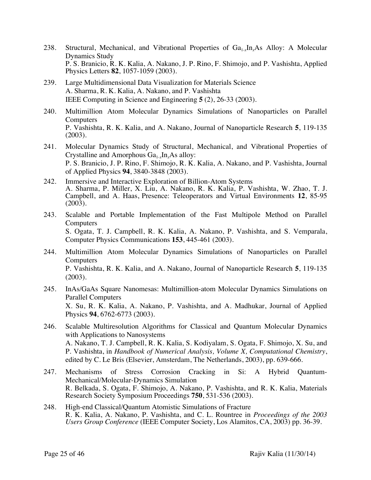- 238. Structural, Mechanical, and Vibrational Properties of Ga<sub>1</sub>, In As Alloy: A Molecular Dynamics Study P. S. Branicio, R. K. Kalia, A. Nakano, J. P. Rino, F. Shimojo, and P. Vashishta, Applied Physics Letters **82**, 1057-1059 (2003).
- 239. Large Multidimensional Data Visualization for Materials Science A. Sharma, R. K. Kalia, A. Nakano, and P. Vashishta IEEE Computing in Science and Engineering **5** (2), 26-33 (2003).
- 240. Multimillion Atom Molecular Dynamics Simulations of Nanoparticles on Parallel **Computers** P. Vashishta, R. K. Kalia, and A. Nakano, Journal of Nanoparticle Research **5**, 119-135 (2003).
- 241. Molecular Dynamics Study of Structural, Mechanical, and Vibrational Properties of Crystalline and Amorphous Ga<sub>1-x</sub>In<sub>x</sub>As alloy: P. S. Branicio, J. P. Rino, F. Shimojo, R. K. Kalia, A. Nakano, and P. Vashishta, Journal of Applied Physics **94**, 3840-3848 (2003).
- 242. Immersive and Interactive Exploration of Billion-Atom Systems A. Sharma, P. Miller, X. Liu, A. Nakano, R. K. Kalia, P. Vashishta, W. Zhao, T. J. Campbell, and A. Haas, Presence: Teleoperators and Virtual Environments **12**, 85-95 (2003).
- 243. Scalable and Portable Implementation of the Fast Multipole Method on Parallel Computers S. Ogata, T. J. Campbell, R. K. Kalia, A. Nakano, P. Vashishta, and S. Vemparala, Computer Physics Communications **153**, 445-461 (2003).
- 244. Multimillion Atom Molecular Dynamics Simulations of Nanoparticles on Parallel **Computers** P. Vashishta, R. K. Kalia, and A. Nakano, Journal of Nanoparticle Research **5**, 119-135 (2003).
- 245. InAs/GaAs Square Nanomesas: Multimillion-atom Molecular Dynamics Simulations on Parallel Computers X. Su, R. K. Kalia, A. Nakano, P. Vashishta, and A. Madhukar, Journal of Applied Physics **94**, 6762-6773 (2003).
- 246. Scalable Multiresolution Algorithms for Classical and Quantum Molecular Dynamics with Applications to Nanosystems A. Nakano, T. J. Campbell, R. K. Kalia, S. Kodiyalam, S. Ogata, F. Shimojo, X. Su, and P. Vashishta, in *Handbook of Numerical Analysis, Volume X, Computational Chemistry*, edited by C. Le Bris (Elsevier, Amsterdam, The Netherlands, 2003), pp. 639-666.
- 247. Mechanisms of Stress Corrosion Cracking in Si: A Hybrid Quantum-Mechanical/Molecular-Dynamics Simulation R. Belkada, S. Ogata, F. Shimojo, A. Nakano, P. Vashishta, and R. K. Kalia, Materials Research Society Symposium Proceedings **750**, 531-536 (2003).
- 248. High-end Classical/Quantum Atomistic Simulations of Fracture R. K. Kalia, A. Nakano, P. Vashishta, and C. L. Rountree in *Proceedings of the 2003 Users Group Conference* (IEEE Computer Society, Los Alamitos, CA, 2003) pp. 36-39.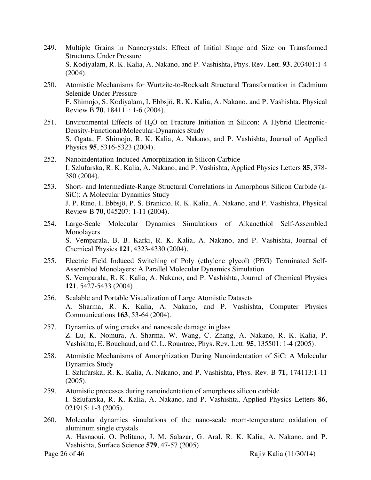- 249. Multiple Grains in Nanocrystals: Effect of Initial Shape and Size on Transformed Structures Under Pressure S. Kodiyalam, R. K. Kalia, A. Nakano, and P. Vashishta, Phys. Rev. Lett. **93**, 203401:1-4 (2004).
- 250. Atomistic Mechanisms for Wurtzite-to-Rocksalt Structural Transformation in Cadmium Selenide Under Pressure F. Shimojo, S. Kodiyalam, I. Ebbsjö, R. K. Kalia, A. Nakano, and P. Vashishta, Physical Review B **70**, 184111: 1-6 (2004).
- 251. Environmental Effects of  $H<sub>2</sub>O$  on Fracture Initiation in Silicon: A Hybrid Electronic-Density-Functional/Molecular-Dynamics Study S. Ogata, F. Shimojo, R. K. Kalia, A. Nakano, and P. Vashishta, Journal of Applied Physics **95**, 5316-5323 (2004).
- 252. Nanoindentation-Induced Amorphization in Silicon Carbide I. Szlufarska, R. K. Kalia, A. Nakano, and P. Vashishta, Applied Physics Letters **85**, 378- 380 (2004).
- 253. Short- and Intermediate-Range Structural Correlations in Amorphous Silicon Carbide (a-SiC): A Molecular Dynamics Study J. P. Rino, I. Ebbsjö, P. S. Branicio, R. K. Kalia, A. Nakano, and P. Vashishta, Physical Review B **70**, 045207: 1-11 (2004).
- 254. Large-Scale Molecular Dynamics Simulations of Alkanethiol Self-Assembled Monolayers S. Vemparala, B. B. Karki, R. K. Kalia, A. Nakano, and P. Vashishta, Journal of Chemical Physics **121**, 4323-4330 (2004).
- 255. Electric Field Induced Switching of Poly (ethylene glycol) (PEG) Terminated Self-Assembled Monolayers: A Parallel Molecular Dynamics Simulation S. Vemparala, R. K. Kalia, A. Nakano, and P. Vashishta, Journal of Chemical Physics **121**, 5427-5433 (2004).
- 256. Scalable and Portable Visualization of Large Atomistic Datasets A. Sharma, R. K. Kalia, A. Nakano, and P. Vashishta, Computer Physics Communications **163**, 53-64 (2004).
- 257. Dynamics of wing cracks and nanoscale damage in glass Z. Lu, K. Nomura, A. Sharma, W. Wang, C. Zhang, A. Nakano, R. K. Kalia, P. Vashishta, E. Bouchaud, and C. L. Rountree, Phys. Rev. Lett. **95**, 135501: 1-4 (2005).
- 258. Atomistic Mechanisms of Amorphization During Nanoindentation of SiC: A Molecular Dynamics Study I. Szlufarska, R. K. Kalia, A. Nakano, and P. Vashishta, Phys. Rev. B **71**, 174113:1-11 (2005).
- 259. Atomistic processes during nanoindentation of amorphous silicon carbide I. Szlufarska, R. K. Kalia, A. Nakano, and P. Vashishta, Applied Physics Letters **86**, 021915: 1-3 (2005).
- 260. Molecular dynamics simulations of the nano-scale room-temperature oxidation of aluminum single crystals A. Hasnaoui, O. Politano, J. M. Salazar, G. Aral, R. K. Kalia, A. Nakano, and P. Vashishta, Surface Science **579**, 47-57 (2005).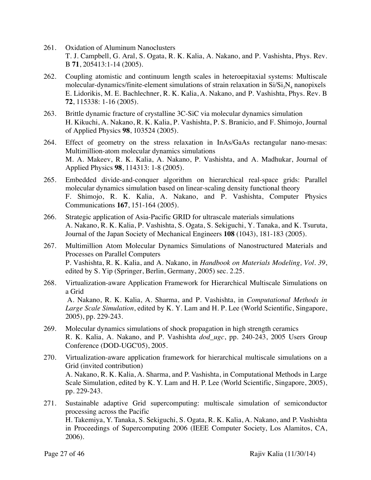- 261. Oxidation of Aluminum Nanoclusters T. J. Campbell, G. Aral, S. Ogata, R. K. Kalia, A. Nakano, and P. Vashishta, Phys. Rev. B **71**, 205413:1-14 (2005).
- 262. Coupling atomistic and continuum length scales in heteroepitaxial systems: Multiscale molecular-dynamics/finite-element simulations of strain relaxation in  $Si/Si<sub>3</sub>N<sub>4</sub>$  nanopixels E. Lidorikis, M. E. Bachlechner, R. K. Kalia, A. Nakano, and P. Vashishta, Phys. Rev. B **72**, 115338: 1-16 (2005).
- 263. Brittle dynamic fracture of crystalline 3C-SiC via molecular dynamics simulation H. Kikuchi, A. Nakano, R. K. Kalia, P. Vashishta, P. S. Branicio, and F. Shimojo, Journal of Applied Physics **98**, 103524 (2005).
- 264. Effect of geometry on the stress relaxation in InAs/GaAs rectangular nano-mesas: Multimillion-atom molecular dynamics simulations M. A. Makeev, R. K. Kalia, A. Nakano, P. Vashishta, and A. Madhukar, Journal of Applied Physics **98**, 114313: 1-8 (2005).
- 265. Embedded divide-and-conquer algorithm on hierarchical real-space grids: Parallel molecular dynamics simulation based on linear-scaling density functional theory F. Shimojo, R. K. Kalia, A. Nakano, and P. Vashishta, Computer Physics Communications **167**, 151-164 (2005).
- 266. Strategic application of Asia-Pacific GRID for ultrascale materials simulations A. Nakano, R. K. Kalia, P. Vashishta, S. Ogata, S. Sekiguchi, Y. Tanaka, and K. Tsuruta, Journal of the Japan Society of Mechanical Engineers **108** (1043), 181-183 (2005).
- 267. Multimillion Atom Molecular Dynamics Simulations of Nanostructured Materials and Processes on Parallel Computers P. Vashishta, R. K. Kalia, and A. Nakano, in *Handbook on Materials Modeling, Vol. 39*, edited by S. Yip (Springer, Berlin, Germany, 2005) sec. 2.25.
- 268. Virtualization-aware Application Framework for Hierarchical Multiscale Simulations on a Grid A. Nakano, R. K. Kalia, A. Sharma, and P. Vashishta, in *Computational Methods in Large Scale Simulation*, edited by K. Y. Lam and H. P. Lee (World Scientific, Singapore, 2005), pp. 229-243.
- 269. Molecular dynamics simulations of shock propagation in high strength ceramics R. K. Kalia, A. Nakano, and P. Vashishta *dod\_ugc*, pp. 240-243, 2005 Users Group Conference (DOD-UGC'05), 2005.
- 270. Virtualization-aware application framework for hierarchical multiscale simulations on a Grid (invited contribution) A. Nakano, R. K. Kalia, A. Sharma, and P. Vashishta, in Computational Methods in Large Scale Simulation, edited by K. Y. Lam and H. P. Lee (World Scientific, Singapore, 2005), pp. 229-243.
- 271. Sustainable adaptive Grid supercomputing: multiscale simulation of semiconductor processing across the Pacific H. Takemiya, Y. Tanaka, S. Sekiguchi, S. Ogata, R. K. Kalia, A. Nakano, and P. Vashishta in Proceedings of Supercomputing 2006 (IEEE Computer Society, Los Alamitos, CA, 2006).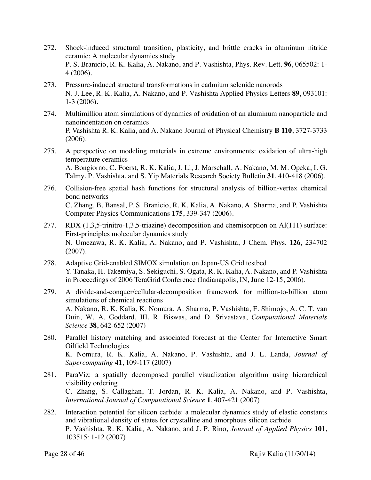- 272. Shock-induced structural transition, plasticity, and brittle cracks in aluminum nitride ceramic: A molecular dynamics study P. S. Branicio, R. K. Kalia, A. Nakano, and P. Vashishta, Phys. Rev. Lett. **96**, 065502: 1- 4 (2006).
- 273. Pressure-induced structural transformations in cadmium selenide nanorods N. J. Lee, R. K. Kalia, A. Nakano, and P. Vashishta Applied Physics Letters **89**, 093101: 1-3 (2006).
- 274. Multimillion atom simulations of dynamics of oxidation of an aluminum nanoparticle and nanoindentation on ceramics P. Vashishta R. K. Kalia, and A. Nakano Journal of Physical Chemistry **B 110**, 3727-3733 (2006).
- 275. A perspective on modeling materials in extreme environments: oxidation of ultra-high temperature ceramics A. Bongiorno, C. Foerst, R. K. Kalia, J. Li, J. Marschall, A. Nakano, M. M. Opeka, I. G. Talmy, P. Vashishta, and S. Yip Materials Research Society Bulletin **31**, 410-418 (2006).
- 276. Collision-free spatial hash functions for structural analysis of billion-vertex chemical bond networks C. Zhang, B. Bansal, P. S. Branicio, R. K. Kalia, A. Nakano, A. Sharma, and P. Vashishta Computer Physics Communications **175**, 339-347 (2006).
- 277. RDX (1,3,5-trinitro-1,3,5-triazine) decomposition and chemisorption on Al(111) surface: First-principles molecular dynamics study N. Umezawa, R. K. Kalia, A. Nakano, and P. Vashishta, J Chem. Phys. **126**, 234702 (2007).
- 278. Adaptive Grid-enabled SIMOX simulation on Japan-US Grid testbed Y. Tanaka, H. Takemiya, S. Sekiguchi, S. Ogata, R. K. Kalia, A. Nakano, and P. Vashishta in Proceedings of 2006 TeraGrid Conference (Indianapolis, IN, June 12-15, 2006).
- 279. A divide-and-conquer/cellular-decomposition framework for million-to-billion atom simulations of chemical reactions A. Nakano, R. K. Kalia, K. Nomura, A. Sharma, P. Vashishta, F. Shimojo, A. C. T. van Duin, W. A. Goddard, III, R. Biswas, and D. Srivastava, *Computational Materials Science* **38**, 642-652 (2007)
- 280. Parallel history matching and associated forecast at the Center for Interactive Smart Oilfield Technologies K. Nomura, R. K. Kalia, A. Nakano, P. Vashishta, and J. L. Landa, *Journal of Supercomputing* **41**, 109-117 (2007)
- 281. ParaViz: a spatially decomposed parallel visualization algorithm using hierarchical visibility ordering C. Zhang, S. Callaghan, T. Jordan, R. K. Kalia, A. Nakano, and P. Vashishta, *International Journal of Computational Science* **1**, 407-421 (2007)
- 282. Interaction potential for silicon carbide: a molecular dynamics study of elastic constants and vibrational density of states for crystalline and amorphous silicon carbide P. Vashishta, R. K. Kalia, A. Nakano, and J. P. Rino, *Journal of Applied Physics* **101**, 103515: 1-12 (2007)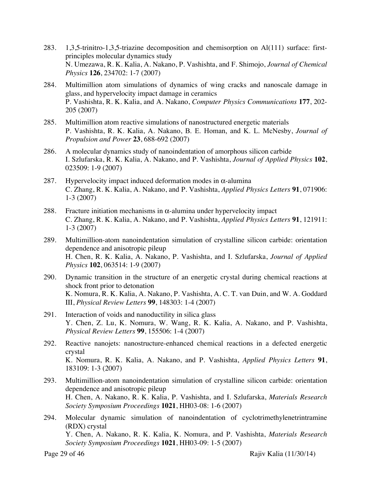- 283. 1,3,5-trinitro-1,3,5-triazine decomposition and chemisorption on Al(111) surface: firstprinciples molecular dynamics study N. Umezawa, R. K. Kalia, A. Nakano, P. Vashishta, and F. Shimojo, *Journal of Chemical Physics* **126**, 234702: 1-7 (2007)
- 284. Multimillion atom simulations of dynamics of wing cracks and nanoscale damage in glass, and hypervelocity impact damage in ceramics P. Vashishta, R. K. Kalia, and A. Nakano, *Computer Physics Communications* **177**, 202- 205 (2007)
- 285. Multimillion atom reactive simulations of nanostructured energetic materials P. Vashishta, R. K. Kalia, A. Nakano, B. E. Homan, and K. L. McNesby, *Journal of Propulsion and Power* **23**, 688-692 (2007)
- 286. A molecular dynamics study of nanoindentation of amorphous silicon carbide I. Szlufarska, R. K. Kalia, A. Nakano, and P. Vashishta, *Journal of Applied Physics* **102**, 023509: 1-9 (2007)
- 287. Hypervelocity impact induced deformation modes in  $\alpha$ -alumina C. Zhang, R. K. Kalia, A. Nakano, and P. Vashishta, *Applied Physics Letters* **91**, 071906: 1-3 (2007)
- 288. Fracture initiation mechanisms in  $\alpha$ -alumina under hypervelocity impact C. Zhang, R. K. Kalia, A. Nakano, and P. Vashishta, *Applied Physics Letters* **91**, 121911: 1-3 (2007)
- 289. Multimillion-atom nanoindentation simulation of crystalline silicon carbide: orientation dependence and anisotropic pileup H. Chen, R. K. Kalia, A. Nakano, P. Vashishta, and I. Szlufarska, *Journal of Applied Physics* **102**, 063514: 1-9 (2007)
- 290. Dynamic transition in the structure of an energetic crystal during chemical reactions at shock front prior to detonation K. Nomura, R. K. Kalia, A. Nakano, P. Vashishta, A. C. T. van Duin, and W. A. Goddard III, *Physical Review Letters* **99**, 148303: 1-4 (2007)
- 291. Interaction of voids and nanoductility in silica glass Y. Chen, Z. Lu, K. Nomura, W. Wang, R. K. Kalia, A. Nakano, and P. Vashishta, *Physical Review Letters* **99**, 155506: 1-4 (2007)
- 292. Reactive nanojets: nanostructure-enhanced chemical reactions in a defected energetic crystal K. Nomura, R. K. Kalia, A. Nakano, and P. Vashishta, *Applied Physics Letters* **91**, 183109: 1-3 (2007)
- 293. Multimillion-atom nanoindentation simulation of crystalline silicon carbide: orientation dependence and anisotropic pileup H. Chen, A. Nakano, R. K. Kalia, P. Vashishta, and I. Szlufarska, *Materials Research Society Symposium Proceedings* **1021**, HH03-08: 1-6 (2007)
- 294. Molecular dynamic simulation of nanoindentation of cyclotrimethylenetrintramine (RDX) crystal Y. Chen, A. Nakano, R. K. Kalia, K. Nomura, and P. Vashishta, *Materials Research Society Symposium Proceedings* **1021**, HH03-09: 1-5 (2007)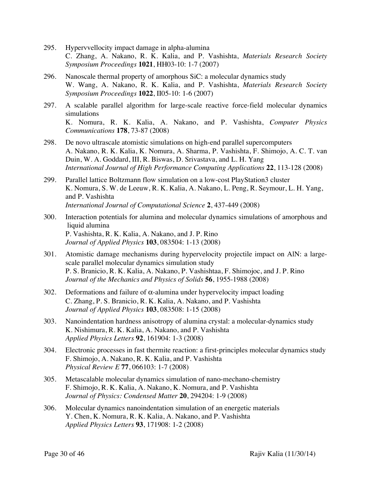- 295. Hypervvellocity impact damage in alpha-alumina C. Zhang, A. Nakano, R. K. Kalia, and P. Vashishta, *Materials Research Society Symposium Proceedings* **1021**, HH03-10: 1-7 (2007)
- 296. Nanoscale thermal property of amorphous SiC: a molecular dynamics study W. Wang, A. Nakano, R. K. Kalia, and P. Vashishta, *Materials Research Society Symposium Proceedings* **1022**, II05-10: 1-6 (2007)
- 297. A scalable parallel algorithm for large-scale reactive force-field molecular dynamics simulations K. Nomura, R. K. Kalia, A. Nakano, and P. Vashishta, *Computer Physics Communications* **178**, 73-87 (2008)
- 298. De novo ultrascale atomistic simulations on high-end parallel supercomputers A. Nakano, R. K. Kalia, K. Nomura, A. Sharma, P. Vashishta, F. Shimojo, A. C. T. van Duin, W. A. Goddard, III, R. Biswas, D. Srivastava, and L. H. Yang *International Journal of High Performance Computing Applications* **22**, 113-128 (2008)
- 299. Parallel lattice Boltzmann flow simulation on a low-cost PlayStation3 cluster K. Nomura, S. W. de Leeuw, R. K. Kalia, A. Nakano, L. Peng, R. Seymour, L. H. Yang, and P. Vashishta *International Journal of Computational Science* **2**, 437-449 (2008)
- 300. Interaction potentials for alumina and molecular dynamics simulations of amorphous and liquid alumina P. Vashishta, R. K. Kalia, A. Nakano, and J. P. Rino *Journal of Applied Physics* **103**, 083504: 1-13 (2008)
- 301. Atomistic damage mechanisms during hypervelocity projectile impact on AlN: a largescale parallel molecular dynamics simulation study P. S. Branicio, R. K. Kalia, A. Nakano, P. Vashishtaa, F. Shimojoc, and J. P. Rino *Journal of the Mechanics and Physics of Solids* **56**, 1955-1988 (2008)
- 302. Deformations and failure of  $\alpha$ -alumina under hypervelocity impact loading C. Zhang, P. S. Branicio, R. K. Kalia, A. Nakano, and P. Vashishta *Journal of Applied Physics* **103**, 083508: 1-15 (2008)
- 303. Nanoindentation hardness anisotropy of alumina crystal: a molecular-dynamics study K. Nishimura, R. K. Kalia, A. Nakano, and P. Vashishta *Applied Physics Letters* **92**, 161904: 1-3 (2008)
- 304. Electronic processes in fast thermite reaction: a first-principles molecular dynamics study F. Shimojo, A. Nakano, R. K. Kalia, and P. Vashishta *Physical Review E* **77**, 066103: 1-7 (2008)
- 305. Metascalable molecular dynamics simulation of nano-mechano-chemistry F. Shimojo, R. K. Kalia, A. Nakano, K. Nomura, and P. Vashishta *Journal of Physics: Condensed Matter* **20**, 294204: 1-9 (2008)
- 306. Molecular dynamics nanoindentation simulation of an energetic materials Y. Chen, K. Nomura, R. K. Kalia, A. Nakano, and P. Vashishta *Applied Physics Letters* **93**, 171908: 1-2 (2008)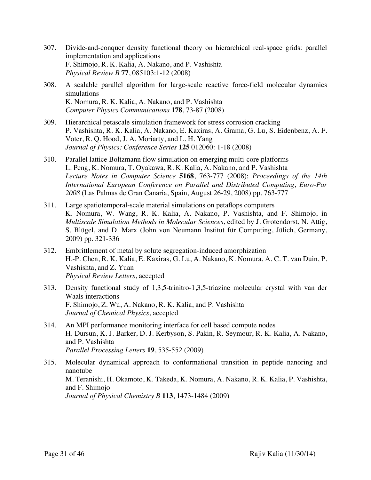- 307. Divide-and-conquer density functional theory on hierarchical real-space grids: parallel implementation and applications F. Shimojo, R. K. Kalia, A. Nakano, and P. Vashishta *Physical Review B* **77**, 085103:1-12 (2008)
- 308. A scalable parallel algorithm for large-scale reactive force-field molecular dynamics simulations K. Nomura, R. K. Kalia, A. Nakano, and P. Vashishta *Computer Physics Communications* **178**, 73-87 (2008)
- 309. Hierarchical petascale simulation framework for stress corrosion cracking P. Vashishta, R. K. Kalia, A. Nakano, E. Kaxiras, A. Grama, G. Lu, S. Eidenbenz, A. F. Voter, R. Q. Hood, J. A. Moriarty, and L. H. Yang *Journal of Physics: Conference Series* **125** 012060: 1-18 (2008)
- 310. Parallel lattice Boltzmann flow simulation on emerging multi-core platforms L. Peng, K. Nomura, T. Oyakawa, R. K. Kalia, A. Nakano, and P. Vashishta *Lecture Notes in Computer Science* **5168**, 763-777 (2008); *Proceedings of the 14th International European Conference on Parallel and Distributed Computing, Euro-Par 2008* (Las Palmas de Gran Canaria, Spain, August 26-29, 2008) pp. 763-777
- 311. Large spatiotemporal-scale material simulations on petaflops computers K. Nomura, W. Wang, R. K. Kalia, A. Nakano, P. Vashishta, and F. Shimojo, in *Multiscale Simulation Methods in Molecular Sciences*, edited by J. Grotendorst, N. Attig, S. Blügel, and D. Marx (John von Neumann Institut für Computing, Jülich, Germany, 2009) pp. 321-336
- 312. Embrittlement of metal by solute segregation-induced amorphization H.-P. Chen, R. K. Kalia, E. Kaxiras, G. Lu, A. Nakano, K. Nomura, A. C. T. van Duin, P. Vashishta, and Z. Yuan *Physical Review Letters*, accepted
- 313. Density functional study of 1,3,5-trinitro-1,3,5-triazine molecular crystal with van der Waals interactions F. Shimojo, Z. Wu, A. Nakano, R. K. Kalia, and P. Vashishta *Journal of Chemical Physics*, accepted
- 314. An MPI performance monitoring interface for cell based compute nodes H. Dursun, K. J. Barker, D. J. Kerbyson, S. Pakin, R. Seymour, R. K. Kalia, A. Nakano, and P. Vashishta *Parallel Processing Letters* **19**, 535-552 (2009)
- 315. Molecular dynamical approach to conformational transition in peptide nanoring and nanotube M. Teranishi, H. Okamoto, K. Takeda, K. Nomura, A. Nakano, R. K. Kalia, P. Vashishta, and F. Shimojo *Journal of Physical Chemistry B* **113**, 1473-1484 (2009)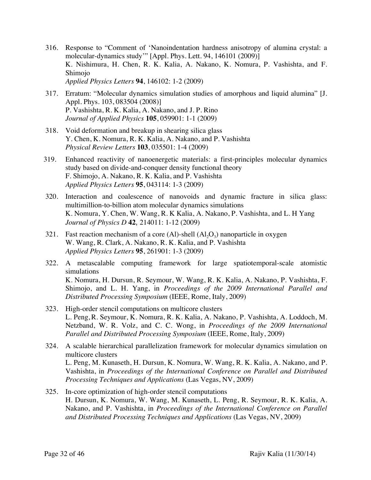- 316. Response to "Comment of 'Nanoindentation hardness anisotropy of alumina crystal: a molecular-dynamics study'" [Appl. Phys. Lett. 94, 146101 (2009)] K. Nishimura, H. Chen, R. K. Kalia, A. Nakano, K. Nomura, P. Vashishta, and F. Shimojo *Applied Physics Letters* **94**, 146102: 1-2 (2009)
- 317. Erratum: "Molecular dynamics simulation studies of amorphous and liquid alumina" [J. Appl. Phys. 103, 083504 (2008)] P. Vashishta, R. K. Kalia, A. Nakano, and J. P. Rino *Journal of Applied Physics* **105**, 059901: 1-1 (2009)
- 318. Void deformation and breakup in shearing silica glass Y. Chen, K. Nomura, R. K. Kalia, A. Nakano, and P. Vashishta *Physical Review Letters* **103**, 035501: 1-4 (2009)
- 319. Enhanced reactivity of nanoenergetic materials: a first-principles molecular dynamics study based on divide-and-conquer density functional theory F. Shimojo, A. Nakano, R. K. Kalia, and P. Vashishta *Applied Physics Letters* **95**, 043114: 1-3 (2009)
- 320. Interaction and coalescence of nanovoids and dynamic fracture in silica glass: multimillion-to-billion atom molecular dynamics simulations K. Nomura, Y. Chen, W. Wang, R. K Kalia, A. Nakano, P. Vashishta, and L. H Yang *Journal of Physics D* **42**, 214011: 1-12 (2009)
- 321. Fast reaction mechanism of a core  $(Al)$ -shell  $(Al, O<sub>3</sub>)$  nanoparticle in oxygen W. Wang, R. Clark, A. Nakano, R. K. Kalia, and P. Vashishta *Applied Physics Letters* **95**, 261901: 1-3 (2009)
- 322. A metascalable computing framework for large spatiotemporal-scale atomistic simulations K. Nomura, H. Dursun, R. Seymour, W. Wang, R. K. Kalia, A. Nakano, P. Vashishta, F. Shimojo, and L. H. Yang, in *Proceedings of the 2009 International Parallel and Distributed Processing Symposium* (IEEE, Rome, Italy, 2009)
- 323. High-order stencil computations on multicore clusters L. Peng, R. Seymour, K. Nomura, R. K. Kalia, A. Nakano, P. Vashishta, A. Loddoch, M. Netzband, W. R. Volz, and C. C. Wong, in *Proceedings of the 2009 International Parallel and Distributed Processing Symposium* (IEEE, Rome, Italy, 2009)
- 324. A scalable hierarchical parallelization framework for molecular dynamics simulation on multicore clusters L. Peng, M. Kunaseth, H. Dursun, K. Nomura, W. Wang, R. K. Kalia, A. Nakano, and P. Vashishta, in *Proceedings of the International Conference on Parallel and Distributed Processing Techniques and Applications* (Las Vegas, NV, 2009)
- 325. In-core optimization of high-order stencil computations H. Dursun, K. Nomura, W. Wang, M. Kunaseth, L. Peng, R. Seymour, R. K. Kalia, A. Nakano, and P. Vashishta, in *Proceedings of the International Conference on Parallel and Distributed Processing Techniques and Applications* (Las Vegas, NV, 2009)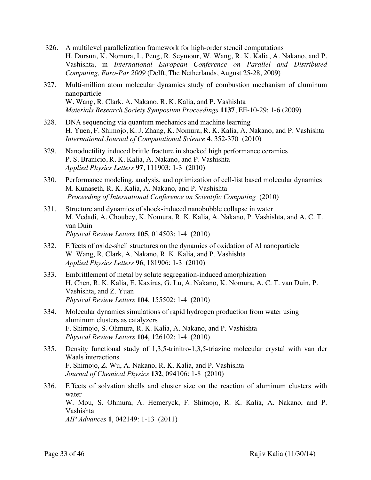- 326. A multilevel parallelization framework for high-order stencil computations H. Dursun, K. Nomura, L. Peng, R. Seymour, W. Wang, R. K. Kalia, A. Nakano, and P. Vashishta, in *International European Conference on Parallel and Distributed Computing, Euro-Par 2009* (Delft, The Netherlands, August 25-28, 2009)
- 327. Multi-million atom molecular dynamics study of combustion mechanism of aluminum nanoparticle W. Wang, R. Clark, A. Nakano, R. K. Kalia, and P. Vashishta *Materials Research Society Symposium Proceedings* **1137**, EE-10-29: 1-6 (2009)
- 328. DNA sequencing via quantum mechanics and machine learning H. Yuen, F. Shimojo, K. J. Zhang, K. Nomura, R. K. Kalia, A. Nakano, and P. Vashishta *International Journal of Computational Science* **4**, 352-370 (2010)
- 329. Nanoductility induced brittle fracture in shocked high performance ceramics P. S. Branicio, R. K. Kalia, A. Nakano, and P. Vashishta *Applied Physics Letters* **97**, 111903: 1-3 (2010)
- 330. Performance modeling, analysis, and optimization of cell-list based molecular dynamics M. Kunaseth, R. K. Kalia, A. Nakano, and P. Vashishta *Proceeding of International Conference on Scientific Computing* (2010)
- 331. Structure and dynamics of shock-induced nanobubble collapse in water M. Vedadi, A. Choubey, K. Nomura, R. K. Kalia, A. Nakano, P. Vashishta, and A. C. T. van Duin *Physical Review Letters* **105**, 014503: 1-4 (2010)
- 332. Effects of oxide-shell structures on the dynamics of oxidation of Al nanoparticle W. Wang, R. Clark, A. Nakano, R. K. Kalia, and P. Vashishta *Applied Physics Letters* **96**, 181906: 1-3 (2010)
- 333. Embrittlement of metal by solute segregation-induced amorphization H. Chen, R. K. Kalia, E. Kaxiras, G. Lu, A. Nakano, K. Nomura, A. C. T. van Duin, P. Vashishta, and Z. Yuan *Physical Review Letters* **104**, 155502: 1-4 (2010)
- 334. Molecular dynamics simulations of rapid hydrogen production from water using aluminum clusters as catalyzers F. Shimojo, S. Ohmura, R. K. Kalia, A. Nakano, and P. Vashishta *Physical Review Letters* **104**, 126102: 1-4 (2010)
- 335. Density functional study of 1,3,5-trinitro-1,3,5-triazine molecular crystal with van der Waals interactions F. Shimojo, Z. Wu, A. Nakano, R. K. Kalia, and P. Vashishta *Journal of Chemical Physics* **132**, 094106: 1-8 (2010)
- 336. Effects of solvation shells and cluster size on the reaction of aluminum clusters with water W. Mou, S. Ohmura, A. Hemeryck, F. Shimojo, R. K. Kalia, A. Nakano, and P. Vashishta *AIP Advances* **1**, 042149: 1-13 (2011)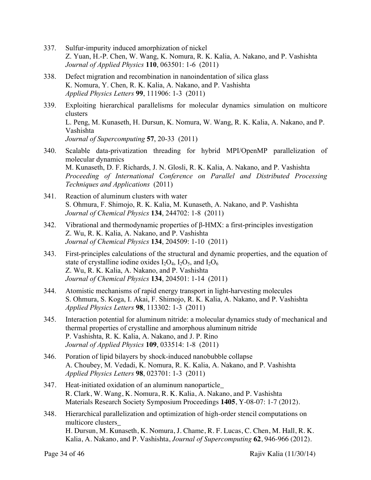- 337. Sulfur-impurity induced amorphization of nickel Z. Yuan, H.-P. Chen, W. Wang, K. Nomura, R. K. Kalia, A. Nakano, and P. Vashishta *Journal of Applied Physics* **110**, 063501: 1-6 (2011)
- 338. Defect migration and recombination in nanoindentation of silica glass K. Nomura, Y. Chen, R. K. Kalia, A. Nakano, and P. Vashishta *Applied Physics Letters* **99**, 111906: 1-3 (2011)
- 339. Exploiting hierarchical parallelisms for molecular dynamics simulation on multicore clusters L. Peng, M. Kunaseth, H. Dursun, K. Nomura, W. Wang, R. K. Kalia, A. Nakano, and P. Vashishta *Journal of Supercomputing* **57**, 20-33 (2011)
- 340. Scalable data-privatization threading for hybrid MPI/OpenMP parallelization of molecular dynamics M. Kunaseth, D. F. Richards, J. N. Glosli, R. K. Kalia, A. Nakano, and P. Vashishta *Proceeding of International Conference on Parallel and Distributed Processing Techniques and Applications* (2011)
- 341. Reaction of aluminum clusters with water S. Ohmura, F. Shimojo, R. K. Kalia, M. Kunaseth, A. Nakano, and P. Vashishta *Journal of Chemical Physics* **134**, 244702: 1-8 (2011)
- 342. Vibrational and thermodynamic properties of β-HMX: a first-principles investigation Z. Wu, R. K. Kalia, A. Nakano, and P. Vashishta *Journal of Chemical Physics* **134**, 204509: 1-10 (2011)
- 343. First-principles calculations of the structural and dynamic properties, and the equation of state of crystalline iodine oxides  $I_2O_4$ ,  $I_2O_5$ , and  $I_2O_6$ Z. Wu, R. K. Kalia, A. Nakano, and P. Vashishta *Journal of Chemical Physics* **134**, 204501: 1-14 (2011)
- 344. Atomistic mechanisms of rapid energy transport in light-harvesting molecules S. Ohmura, S. Koga, I. Akai, F. Shimojo, R. K. Kalia, A. Nakano, and P. Vashishta *Applied Physics Letters* **98**, 113302: 1-3 (2011)
- 345. Interaction potential for aluminum nitride: a molecular dynamics study of mechanical and thermal properties of crystalline and amorphous aluminum nitride P. Vashishta, R. K. Kalia, A. Nakano, and J. P. Rino *Journal of Applied Physics* **109**, 033514: 1-8 (2011)
- 346. Poration of lipid bilayers by shock-induced nanobubble collapse A. Choubey, M. Vedadi, K. Nomura, R. K. Kalia, A. Nakano, and P. Vashishta *Applied Physics Letters* **98**, 023701: 1-3 (2011)
- 347. Heat-initiated oxidation of an aluminum nanoparticle\_ R. Clark, W. Wang, K. Nomura, R. K. Kalia, A. Nakano, and P. Vashishta Materials Research Society Symposium Proceedings **1405**, Y-08-07: 1-7 (2012).
- 348. Hierarchical parallelization and optimization of high-order stencil computations on multicore clusters\_ H. Dursun, M. Kunaseth, K. Nomura, J. Chame, R. F. Lucas, C. Chen, M. Hall, R. K. Kalia, A. Nakano, and P. Vashishta, *Journal of Supercomputing* **62**, 946-966 (2012).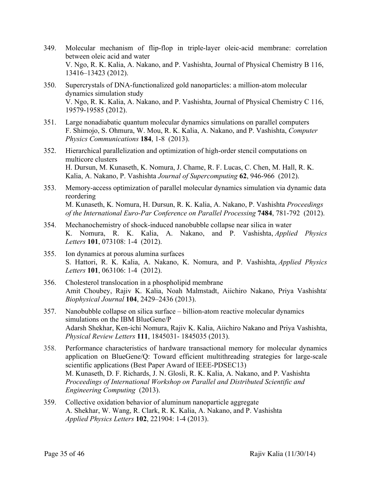- 349. Molecular mechanism of flip-flop in triple-layer oleic-acid membrane: correlation between oleic acid and water V. Ngo, R. K. Kalia, A. Nakano, and P. Vashishta, Journal of Physical Chemistry B 116, 13416–13423 (2012).
- 350. Supercrystals of DNA-functionalized gold nanoparticles: a million-atom molecular dynamics simulation study V. Ngo, R. K. Kalia, A. Nakano, and P. Vashishta, Journal of Physical Chemistry C 116, 19579-19585 (2012).
- 351. Large nonadiabatic quantum molecular dynamics simulations on parallel computers F. Shimojo, S. Ohmura, W. Mou, R. K. Kalia, A. Nakano, and P. Vashishta, *Computer Physics Communications* **184**, 1-8 (2013).
- 352. Hierarchical parallelization and optimization of high-order stencil computations on multicore clusters H. Dursun, M. Kunaseth, K. Nomura, J. Chame, R. F. Lucas, C. Chen, M. Hall, R. K. Kalia, A. Nakano, P. Vashishta *Journal of Supercomputing* **62**, 946-966 (2012).
- 353. Memory-access optimization of parallel molecular dynamics simulation via dynamic data reordering M. Kunaseth, K. Nomura, H. Dursun, R. K. Kalia, A. Nakano, P. Vashishta *Proceedings of the International Euro-Par Conference on Parallel Processing* **7484**, 781-792 (2012).
- 354. Mechanochemistry of shock-induced nanobubble collapse near silica in water K. Nomura, R. K. Kalia, A. Nakano, and P. Vashishta, *Applied Physics Letters* **101**, 073108: 1-4 (2012).
- 355. Ion dynamics at porous alumina surfaces S. Hattori, R. K. Kalia, A. Nakano, K. Nomura, and P. Vashishta, *Applied Physics Letters* **101**, 063106: 1-4 (2012).
- 356. Cholesterol translocation in a phospholipid membrane Amit Choubey, Rajiv K. Kalia, Noah Malmstadt, Aiichiro Nakano, Priya Vashishta, *Biophysical Journal* **104**, 2429–2436 (2013).
- 357. Nanobubble collapse on silica surface billion-atom reactive molecular dynamics simulations on the IBM BlueGene/P Adarsh Shekhar, Ken-ichi Nomura, Rajiv K. Kalia, Aiichiro Nakano and Priya Vashishta, *Physical Review Letters* **111**, 1845031- 1845035 (2013).
- 358. Performance characteristics of hardware transactional memory for molecular dynamics application on BlueGene/Q: Toward efficient multithreading strategies for large-scale scientific applications (Best Paper Award of IEEE-PDSEC13) M. Kunaseth, D. F. Richards, J. N. Glosli, R. K. Kalia, A. Nakano, and P. Vashishta *Proceedings of International Workshop on Parallel and Distributed Scientific and Engineering Computing* (2013).
- 359. Collective oxidation behavior of aluminum nanoparticle aggregate A. Shekhar, W. Wang, R. Clark, R. K. Kalia, A. Nakano, and P. Vashishta *Applied Physics Letters* **102**, 221904: 1-4 (2013).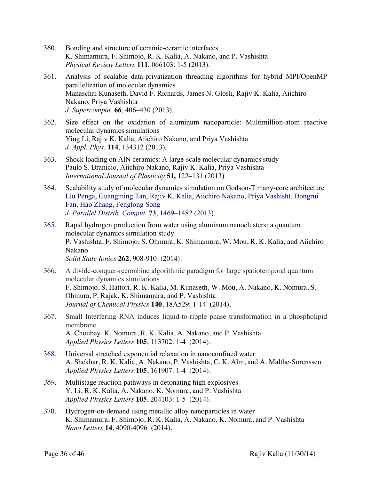- 360. Bonding and structure of ceramic-ceramic interfaces K. Shimamura, F. Shimojo, R. K. Kalia, A. Nakano, and P. Vashishta *Physical Review Letters* **111**, 066103: 1-5 (2013).
- 361. Analysis of scalable data-privatization threading algorithms for hybrid MPI/OpenMP parallelization of molecular dynamics Manaschai Kunaseth, David F. Richards, James N. Glosli, Rajiv K. Kalia, Aiichiro Nakano, Priya Vashishta *J. Supercomput.* **66**, 406–430 (2013).
- 362. Size effect on the oxidation of aluminum nanoparticle: Multimillion-atom reactive molecular dynamics simulations Ying Li, Rajiv K. Kalia, Aiichiro Nakano, and Priya Vashishta *J. Appl. Phys.* **114**, 134312 (2013).
- 363. Shock loading on AlN ceramics: A large-scale molecular dynamics study Paulo S. Branicio, Aiichiro Nakano, Rajiv K. Kalia, Priya Vashishta *International Journal of Plasticity* **51,** 122–131 (2013).
- 364. Scalability study of molecular dynamics simulation on Godson-T many-core architecture Liu Penga, Guangming Tan, Rajiv K. Kalia, Aiichiro Nakano, Priya Vashisht, Dongrui Fan, Hao Zhang, Fenglong Song *J. Parallel Distrib. Comput.* **73**, 1469–1482 (2013).
- 365. Rapid hydrogen production from water using aluminum nanoclusters: a quantum molecular dynamics simulation study P. Vashishta, F. Shimojo, S. Ohmura, K. Shimamura, W. Mou, R. K. Kalia, and Aiichiro Nakano *Solid State Ionics* **262**, 908-910 (2014).
- 366. A divide-conquer-recombine algorithmic paradigm for large spatiotemporal quantum molecular dynamics simulations F. Shimojo, S. Hattori, R. K. Kalia, M. Kunaseth, W. Mou, A. Nakano, K. Nomura, S. Ohmura, P. Rajak, K. Shimamura, and P. Vashishta *Journal of Chemical Physics* **140**, 18A529: 1-14 (2014).
- 367. Small Interfering RNA induces liquid-to-ripple phase transformation in a phospholipid membrane A. Choubey, K. Nomura, R. K. Kalia, A. Nakano, and P. Vashishta *Applied Physics Letters* **105**, 113702: 1-4 (2014).
- 368. Universal stretched exponential relaxation in nanoconfined water A. Shekhar, R. K. Kalia, A. Nakano, P. Vashishta, C. K. Alm, and A. Malthe-Sorenssen *Applied Physics Letters* **105**, 161907: 1-4 (2014).
- *369.* Multistage reaction pathways in detonating high explosives Y. Li, R. K. Kalia, A. Nakano, K. Nomura, and P. Vashishta *Applied Physics Letters* **105**, 204103: 1-5 (2014).
- 370. Hydrogen-on-demand using metallic alloy nanoparticles in water K. Shimamura, F. Shimojo, R. K. Kalia, A. Nakano, K. Nomura, and P. Vashishta *Nano Letters* **14**, 4090-4096 (2014).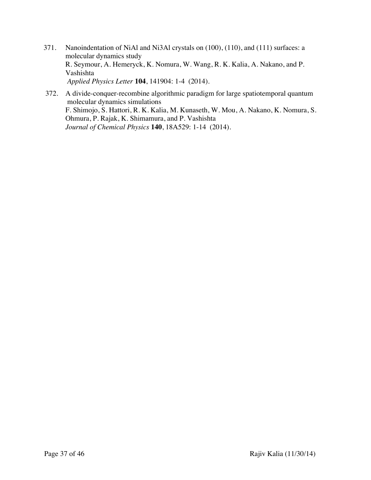- 371. Nanoindentation of NiAl and Ni3Al crystals on (100), (110), and (111) surfaces: a molecular dynamics study R. Seymour, A. Hemeryck, K. Nomura, W. Wang, R. K. Kalia, A. Nakano, and P. Vashishta *Applied Physics Letter* **104**, 141904: 1-4 (2014).
- 372. A divide-conquer-recombine algorithmic paradigm for large spatiotemporal quantum molecular dynamics simulations F. Shimojo, S. Hattori, R. K. Kalia, M. Kunaseth, W. Mou, A. Nakano, K. Nomura, S. Ohmura, P. Rajak, K. Shimamura, and P. Vashishta *Journal of Chemical Physics* **140**, 18A529: 1-14 (2014).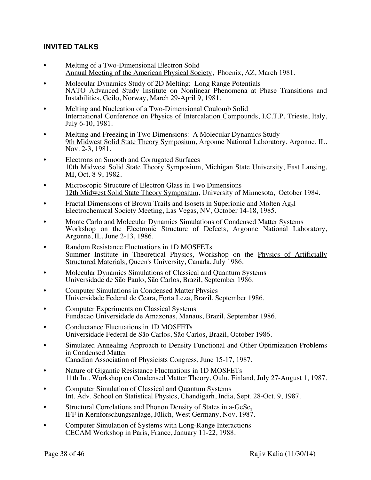#### **INVITED TALKS**

- Melting of a Two-Dimensional Electron Solid Annual Meeting of the American Physical Society, Phoenix, AZ, March 1981.
- Molecular Dynamics Study of 2D Melting: Long Range Potentials NATO Advanced Study Institute on Nonlinear Phenomena at Phase Transitions and Instabilities, Geilo, Norway, March 29-April 9, 1981.
- Melting and Nucleation of a Two-Dimensional Coulomb Solid International Conference on Physics of Intercalation Compounds, I.C.T.P. Trieste, Italy, July 6-10, 1981.
- Melting and Freezing in Two Dimensions: A Molecular Dynamics Study 9th Midwest Solid State Theory Symposium, Argonne National Laboratory, Argonne, IL. Nov. 2-3, 1981.
- Electrons on Smooth and Corrugated Surfaces 10th Midwest Solid State Theory Symposium, Michigan State University, East Lansing, MI, Oct. 8-9, 1982.
- Microscopic Structure of Electron Glass in Two Dimensions 12th Midwest Solid State Theory Symposium, University of Minnesota, October 1984.
- Fractal Dimensions of Brown Trails and Isosets in Superionic and Molten Ag<sub>2</sub>I Electrochemical Society Meeting, Las Vegas, NV, October 14-18, 1985.
- Monte Carlo and Molecular Dynamics Simulations of Condensed Matter Systems Workshop on the Electronic Structure of Defects, Argonne National Laboratory, Argonne, IL, June 2-13, 1986.
- Random Resistance Fluctuations in 1D MOSFETs Summer Institute in Theoretical Physics, Workshop on the Physics of Artificially Structured Materials, Queen's University, Canada, July 1986.
- Molecular Dynamics Simulations of Classical and Quantum Systems Universidade de São Paulo, São Carlos, Brazil, September 1986.
- Computer Simulations in Condensed Matter Physics Universidade Federal de Ceara, Forta Leza, Brazil, September 1986.
- Computer Experiments on Classical Systems Fundacao Universidade de Amazonas, Manaus, Brazil, September 1986.
- Conductance Fluctuations in 1D MOSFETs Universidade Federal de São Carlos, São Carlos, Brazil, October 1986.
- Simulated Annealing Approach to Density Functional and Other Optimization Problems in Condensed Matter Canadian Association of Physicists Congress, June 15-17, 1987.
- Nature of Gigantic Resistance Fluctuations in 1D MOSFETs 11th Int. Workshop on Condensed Matter Theory, Oulu, Finland, July 27-August 1, 1987.
- Computer Simulation of Classical and Quantum Systems Int. Adv. School on Statistical Physics, Chandigarh, India, Sept. 28-Oct. 9, 1987.
- Structural Correlations and Phonon Density of States in a-GeSe<sub>2</sub> IFF in Kernforschungsanlage, Jülich, West Germany, Nov. 1987.
- Computer Simulation of Systems with Long-Range Interactions CECAM Workshop in Paris, France, January 11-22, 1988.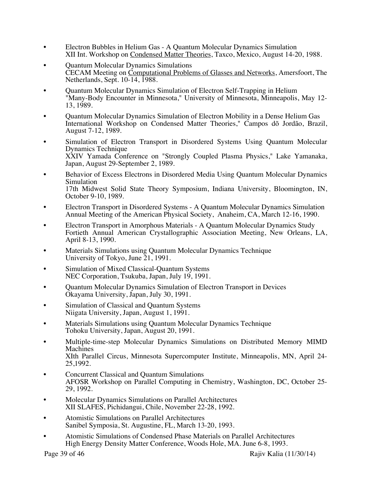- Electron Bubbles in Helium Gas A Quantum Molecular Dynamics Simulation XII Int. Workshop on Condensed Matter Theories, Taxco, Mexico, August 14-20, 1988.
- Quantum Molecular Dynamics Simulations CECAM Meeting on Computational Problems of Glasses and Networks, Amersfoort, The Netherlands, Sept. 10-14, 1988.
- Ouantum Molecular Dynamics Simulation of Electron Self-Trapping in Helium "Many-Body Encounter in Minnesota," University of Minnesota, Minneapolis, May 12- 13, 1989.
- Cuantum Molecular Dynamics Simulation of Electron Mobility in a Dense Helium Gas International Workshop on Condensed Matter Theories," Campos dõ Jordão, Brazil, August 7-12, 1989.
- Simulation of Electron Transport in Disordered Systems Using Quantum Molecular Dynamics Technique XXIV Yamada Conference on "Strongly Coupled Plasma Physics," Lake Yamanaka, Japan, August 29-September 2, 1989.
- Behavior of Excess Electrons in Disordered Media Using Quantum Molecular Dynamics Simulation 17th Midwest Solid State Theory Symposium, Indiana University, Bloomington, IN, October 9-10, 1989.
- Electron Transport in Disordered Systems A Quantum Molecular Dynamics Simulation Annual Meeting of the American Physical Society, Anaheim, CA, March 12-16, 1990.
- Electron Transport in Amorphous Materials A Quantum Molecular Dynamics Study Fortieth Annual American Crystallographic Association Meeting, New Orleans, LA, April 8-13, 1990.
- Materials Simulations using Quantum Molecular Dynamics Technique University of Tokyo, June 21, 1991.
- Simulation of Mixed Classical-Quantum Systems NEC Corporation, Tsukuba, Japan, July 19, 1991.
- Quantum Molecular Dynamics Simulation of Electron Transport in Devices Okayama University, Japan, July 30, 1991.
- Simulation of Classical and Quantum Systems Niigata University, Japan, August 1, 1991.
- Materials Simulations using Quantum Molecular Dynamics Technique Tohoku University, Japan, August 20, 1991.
- Multiple-time-step Molecular Dynamics Simulations on Distributed Memory MIMD Machines XIth Parallel Circus, Minnesota Supercomputer Institute, Minneapolis, MN, April 24- 25,1992.
- Concurrent Classical and Quantum Simulations AFOSR Workshop on Parallel Computing in Chemistry, Washington, DC, October 25- 29, 1992.
- Molecular Dynamics Simulations on Parallel Architectures XII SLAFES, Pichidangui, Chile, November 22-28, 1992.
- Atomistic Simulations on Parallel Architectures Sanibel Symposia, St. Augustine, FL, March 13-20, 1993.
- Atomistic Simulations of Condensed Phase Materials on Parallel Architectures High Energy Density Matter Conference, Woods Hole, MA. June 6-8, 1993.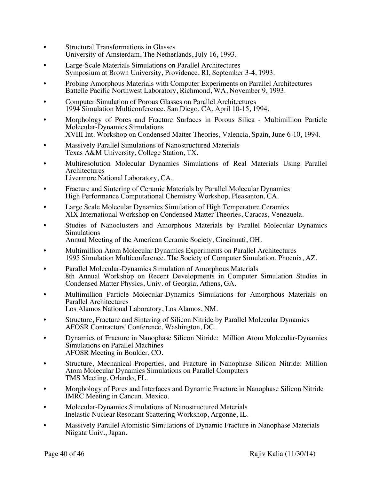- Structural Transformations in Glasses University of Amsterdam, The Netherlands, July 16, 1993.
- Large-Scale Materials Simulations on Parallel Architectures Symposium at Brown University, Providence, RI, September 3-4, 1993.
- Probing Amorphous Materials with Computer Experiments on Parallel Architectures Battelle Pacific Northwest Laboratory, Richmond, WA, November 9, 1993.
- Computer Simulation of Porous Glasses on Parallel Architectures 1994 Simulation Multiconference, San Diego, CA, April 10-15, 1994.
- Morphology of Pores and Fracture Surfaces in Porous Silica Multimillion Particle Molecular-Dynamics Simulations XVIII Int. Workshop on Condensed Matter Theories, Valencia, Spain, June 6-10, 1994.
- Massively Parallel Simulations of Nanostructured Materials Texas A&M University, College Station, TX.
- Multiresolution Molecular Dynamics Simulations of Real Materials Using Parallel Architectures
- Livermore National Laboratory, CA.
- Fracture and Sintering of Ceramic Materials by Parallel Molecular Dynamics High Performance Computational Chemistry Workshop, Pleasanton, CA.
- Large Scale Molecular Dynamics Simulation of High Temperature Ceramics XIX International Workshop on Condensed Matter Theories, Caracas, Venezuela.
- Studies of Nanoclusters and Amorphous Materials by Parallel Molecular Dynamics Simulations
	- Annual Meeting of the American Ceramic Society, Cincinnati, OH.
- Multimillion Atom Molecular Dynamics Experiments on Parallel Architectures 1995 Simulation Multiconference, The Society of Computer Simulation, Phoenix, AZ.
- Parallel Molecular-Dynamics Simulation of Amorphous Materials 8th Annual Workshop on Recent Developments in Computer Simulation Studies in Condensed Matter Physics, Univ. of Georgia, Athens, GA.
- Multimillion Particle Molecular-Dynamics Simulations for Amorphous Materials on Parallel Architectures Los Alamos National Laboratory, Los Alamos, NM.
- Structure, Fracture and Sintering of Silicon Nitride by Parallel Molecular Dynamics AFOSR Contractors' Conference, Washington, DC.
- Dynamics of Fracture in Nanophase Silicon Nitride: Million Atom Molecular-Dynamics Simulations on Parallel Machines AFOSR Meeting in Boulder, CO.
- Structure, Mechanical Properties, and Fracture in Nanophase Silicon Nitride: Million Atom Molecular Dynamics Simulations on Parallel Computers TMS Meeting, Orlando, FL.
- Morphology of Pores and Interfaces and Dynamic Fracture in Nanophase Silicon Nitride IMRC Meeting in Cancun, Mexico.
- Molecular-Dynamics Simulations of Nanostructured Materials Inelastic Nuclear Resonant Scattering Workshop, Argonne, IL.
- Massively Parallel Atomistic Simulations of Dynamic Fracture in Nanophase Materials Niigata Univ., Japan.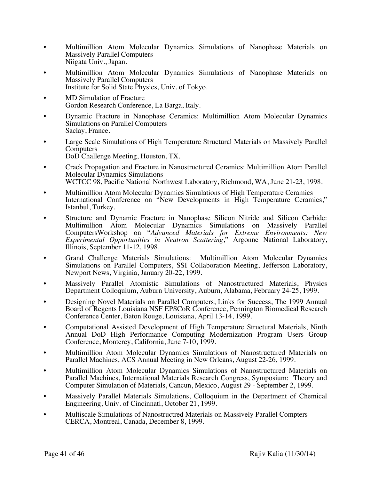- Multimillion Atom Molecular Dynamics Simulations of Nanophase Materials on Massively Parallel Computers Niigata Univ., Japan.
- Multimillion Atom Molecular Dynamics Simulations of Nanophase Materials on Massively Parallel Computers Institute for Solid State Physics, Univ. of Tokyo.
- MD Simulation of Fracture Gordon Research Conference, La Barga, Italy.
- Dynamic Fracture in Nanophase Ceramics: Multimillion Atom Molecular Dynamics Simulations on Parallel Computers Saclay, France.
- Large Scale Simulations of High Temperature Structural Materials on Massively Parallel **Computers** DoD Challenge Meeting, Houston, TX.
- Crack Propagation and Fracture in Nanostructured Ceramics: Multimillion Atom Parallel Molecular Dynamics Simulations WCTCC 98, Pacific National Northwest Laboratory, Richmond, WA, June 21-23, 1998.
- Multimillion Atom Molecular Dynamics Simulations of High Temperature Ceramics International Conference on "New Developments in High Temperature Ceramics," Istanbul, Turkey.
- Structure and Dynamic Fracture in Nanophase Silicon Nitride and Silicon Carbide: Multimillion Atom Molecular Dynamics Simulations on Massively Parallel ComputersWorkshop on "*Advanced Materials for Extreme Environments: New Experimental Opportunities in Neutron Scattering*," Argonne National Laboratory, Illinois, September 11-12, 1998.
- Grand Challenge Materials Simulations: Multimillion Atom Molecular Dynamics Simulations on Parallel Computers, SSI Collaboration Meeting, Jefferson Laboratory, Newport News, Virginia, January 20-22, 1999.
- Massively Parallel Atomistic Simulations of Nanostructured Materials, Physics Department Colloquium, Auburn University, Auburn, Alabama, February 24-25, 1999.
- Designing Novel Materials on Parallel Computers, Links for Success, The 1999 Annual Board of Regents Louisiana NSF EPSCoR Conference, Pennington Biomedical Research Conference Center, Baton Rouge, Louisiana, April 13-14, 1999.
- Computational Assisted Development of High Temperature Structural Materials, Ninth Annual DoD High Performance Computing Modernization Program Users Group Conference, Monterey, California, June 7-10, 1999.
- Multimillion Atom Molecular Dynamics Simulations of Nanostructured Materials on Parallel Machines, ACS Annual Meeting in New Orleans, August 22-26, 1999.
- Multimillion Atom Molecular Dynamics Simulations of Nanostructured Materials on Parallel Machines, International Materials Research Congress, Symposium: Theory and Computer Simulation of Materials, Cancun, Mexico, August 29 - September 2, 1999.
- Massively Parallel Materials Simulations, Colloquium in the Department of Chemical Engineering, Univ. of Cincinnati, October 21, 1999.
- Multiscale Simulations of Nanostructred Materials on Massively Parallel Compters CERCA, Montreal, Canada, December 8, 1999.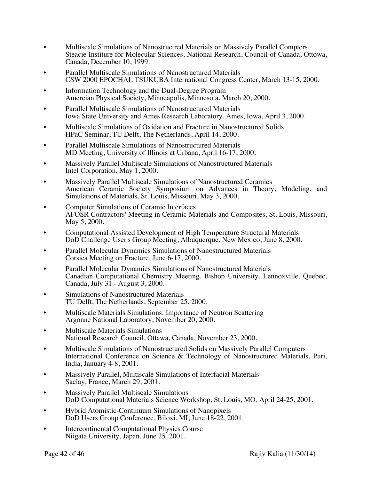- Multiscale Simulations of Nanostructred Materials on Massively Parallel Compters Steacie Institure for Molecular Sciences, National Research, Council of Canada, Ottowa, Canada, December 10, 1999.
- Parallel Multiscale Simulations of Nanostructured Materials CSW 2000 EPOCHAL TSUKUBA International Congress Center, March 13-15, 2000.
- Information Technology and the Dual-Degree Program Amercian Physical Society, Minneapolis, Minnesota, March 20, 2000.
- Parallel Multiscale Simulations of Nanostructured Materials Iowa State University and Ames Research Laboratory, Ames, Iowa, April 3, 2000.
- Multiscale Simulations of Oxidation and Fracture in Nanostructured Solids HPaC Seminar, TU Delft, The Netherlands, April 14, 2000.
- Parallel Multiscale Simulations of Nanostructured Materials MD Meeting, University of Illinois at Urbana, April 16-17, 2000.
- Massively Parallel Multiscale Simulations of Nanostructured Materials Intel Corporation, May 1, 2000.
- Massively Parallel Multiscale Simulations of Nanostructured Ceramics American Ceramic Society Symposium on Advances in Theory, Modeling, and Simulations of Materials, St. Louis, Missouri, May 3, 2000.
- Computer Simulations of Ceramic Interfaces AFOSR Contractors' Meeting in Ceramic Materials and Composites, St. Louis, Missouri, May 5, 2000.
- Computational Assisted Development of High Temperature Structural Materials DoD Challenge User's Group Meeting, Albuquerque, New Mexico, June 8, 2000.
- Parallel Molecular Dynamics Simulations of Nanostructured Materials Corsica Meeting on Fracture, June 6-17, 2000.
- Parallel Molecular Dynamics Simulations of Nanostructured Materials Canadian Computational Chemistry Meeting, Bishop University, Lennoxville, Quebec, Canada, July  $3\overline{1}$  - August 3, 2000.
- Simulations of Nanostructured Materials TU Delft, The Netherlands, September 25, 2000.
- Multiscale Materials Simulations: Importance of Neutron Scattering Argonne National Laboratory, November 20, 2000.
- Multiscale Materials Simulations National Research Council, Ottawa, Canada, November 23, 2000.
- Multiscale Simulations of Nanostructured Solids on Massively Parallel Computers International Conference on Science & Technology of Nanostructured Materials, Puri, India, January 4-8, 2001.
- Massively Parallel, Multiscale Simulations of Interfacial Materials Saclay, France, March 29, 2001.
- Massively Parallel Multiscale Simulations DoD Computational Materials Science Workshop, St. Louis, MO, April 24-25, 2001.
- **•** Hybrid Atomistic-Continuum Simulations of Nanopixels DoD Users Group Conference, Biloxi, MI, June 18-22, 2001.
- Intercontinental Computational Physics Course Niigata University, Japan, June 25, 2001.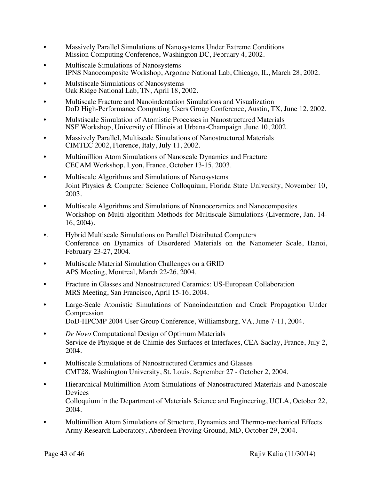- Massively Parallel Simulations of Nanosystems Under Extreme Conditions Mission Computing Conference, Washington DC, February 4, 2002.
- Multiscale Simulations of Nanosystems IPNS Nanocomposite Workshop, Argonne National Lab, Chicago, IL, March 28, 2002.
- Mulstiscale Simulations of Nanosystems Oak Ridge National Lab, TN, April 18, 2002.
- Multiscale Fracture and Nanoindentation Simulations and Visualization DoD High-Performance Computing Users Group Conference, Austin, TX, June 12, 2002.
- Mulstiscale Simulation of Atomistic Processes in Nanostructured Materials NSF Workshop, University of Illinois at Urbana-Champaign ,June 10, 2002.
- Massively Parallel, Multiscale Simulations of Nanostructured Materials CIMTEC 2002, Florence, Italy, July 11, 2002.
- Multimillion Atom Simulations of Nanoscale Dynamics and Fracture CECAM Workshop, Lyon, France, October 13-15, 2003.
- Multiscale Algorithms and Simulations of Nanosystems Joint Physics & Computer Science Colloquium, Florida State University, November 10, 2003.
- •. Multiscale Algorithms and Simulations of Nnanoceramics and Nanocomposites Workshop on Multi-algorithm Methods for Multiscale Simulations (Livermore, Jan. 14- 16, 2004).
- •. Hybrid Multiscale Simulations on Parallel Distributed Computers Conference on Dynamics of Disordered Materials on the Nanometer Scale, Hanoi, February 23-27, 2004.
- Multiscale Material Simulation Challenges on a GRID APS Meeting, Montreal, March 22-26, 2004.
- Fracture in Glasses and Nanostructured Ceramics: US-European Collaboration MRS Meeting, San Francisco, April 15-16, 2004.
- Large-Scale Atomistic Simulations of Nanoindentation and Crack Propagation Under Compression DoD-HPCMP 2004 User Group Conference, Williamsburg, VA, June 7-11, 2004.
- *De Novo* Computational Design of Optimum Materials Service de Physique et de Chimie des Surfaces et Interfaces, CEA-Saclay, France, July 2, 2004.
- Multiscale Simulations of Nanostructured Ceramics and Glasses CMT28, Washington University, St. Louis, September 27 - October 2, 2004.
- Hierarchical Multimillion Atom Simulations of Nanostructured Materials and Nanoscale Devices Colloquium in the Department of Materials Science and Engineering, UCLA, October 22, 2004.
- Multimillion Atom Simulations of Structure, Dynamics and Thermo-mechanical Effects Army Research Laboratory, Aberdeen Proving Ground, MD, October 29, 2004.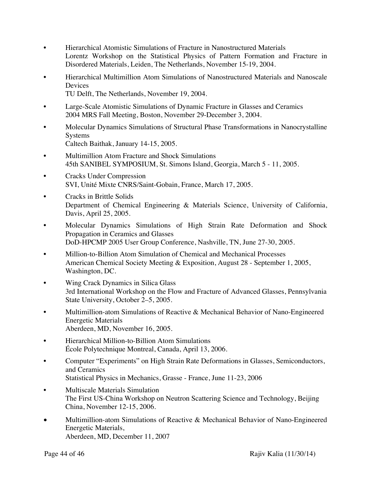- Hierarchical Atomistic Simulations of Fracture in Nanostructured Materials Lorentz Workshop on the Statistical Physics of Pattern Formation and Fracture in Disordered Materials, Leiden, The Netherlands, November 15-19, 2004.
- Hierarchical Multimillion Atom Simulations of Nanostructured Materials and Nanoscale **Devices** TU Delft, The Netherlands, November 19, 2004.
- Large-Scale Atomistic Simulations of Dynamic Fracture in Glasses and Ceramics 2004 MRS Fall Meeting, Boston, November 29-December 3, 2004.
- Molecular Dynamics Simulations of Structural Phase Transformations in Nanocrystalline Systems Caltech Baithak, January 14-15, 2005.
- Multimillion Atom Fracture and Shock Simulations 45th SANIBEL SYMPOSIUM, St. Simons Island, Georgia, March 5 - 11, 2005.
- Cracks Under Compression SVI, Unité Mixte CNRS/Saint-Gobain, France, March 17, 2005.
- Cracks in Brittle Solids Department of Chemical Engineering & Materials Science, University of California, Davis, April 25, 2005.
- Molecular Dynamics Simulations of High Strain Rate Deformation and Shock Propagation in Ceramics and Glasses DoD-HPCMP 2005 User Group Conference, Nashville, TN, June 27-30, 2005.
- Million-to-Billion Atom Simulation of Chemical and Mechanical Processes American Chemical Society Meeting & Exposition, August 28 - September 1, 2005, Washington, DC.
- Wing Crack Dynamics in Silica Glass 3rd International Workshop on the Flow and Fracture of Advanced Glasses, Pennsylvania State University, October 2–5, 2005.
- Multimillion-atom Simulations of Reactive & Mechanical Behavior of Nano-Engineered Energetic Materials Aberdeen, MD, November 16, 2005.
- Hierarchical Million-to-Billion Atom Simulations École Polytechnique Montreal, Canada, April 13, 2006.
- Computer "Experiments" on High Strain Rate Deformations in Glasses, Semiconductors, and Ceramics Statistical Physics in Mechanics, Grasse - France, June 11-23, 2006
- Multiscale Materials Simulation The First US-China Workshop on Neutron Scattering Science and Technology, Beijing China, November 12-15, 2006.
- Multimillion-atom Simulations of Reactive & Mechanical Behavior of Nano-Engineered Energetic Materials, Aberdeen, MD, December 11, 2007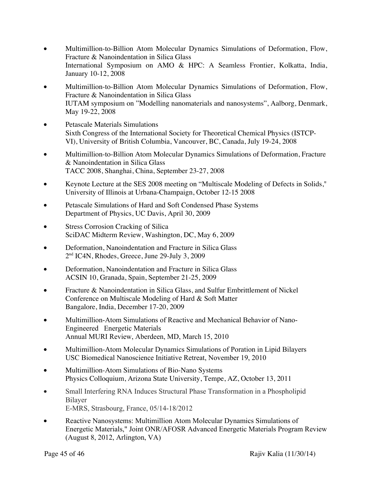- Multimillion-to-Billion Atom Molecular Dynamics Simulations of Deformation, Flow, Fracture & Nanoindentation in Silica Glass International Symposium on AMO & HPC: A Seamless Frontier, Kolkatta, India, January 10-12, 2008
- Multimillion-to-Billion Atom Molecular Dynamics Simulations of Deformation, Flow, Fracture & Nanoindentation in Silica Glass IUTAM symposium on "Modelling nanomaterials and nanosystems", Aalborg, Denmark, May 19-22, 2008
- Petascale Materials Simulations Sixth Congress of the International Society for Theoretical Chemical Physics (ISTCP-VI), University of British Columbia, Vancouver, BC, Canada, July 19-24, 2008
- Multimillion-to-Billion Atom Molecular Dynamics Simulations of Deformation, Fracture & Nanoindentation in Silica Glass TACC 2008, Shanghai, China, September 23-27, 2008
- Keynote Lecture at the SES 2008 meeting on "Multiscale Modeling of Defects in Solids," University of Illinois at Urbana-Champaign, October 12-15 2008
- Petascale Simulations of Hard and Soft Condensed Phase Systems Department of Physics, UC Davis, April 30, 2009
- Stress Corrosion Cracking of Silica SciDAC Midterm Review, Washington, DC, May 6, 2009
- Deformation, Nanoindentation and Fracture in Silica Glass 2<sup>nd</sup> IC4N, Rhodes, Greece, June 29-July 3, 2009
- Deformation, Nanoindentation and Fracture in Silica Glass ACSIN 10, Granada, Spain, September 21-25, 2009
- Fracture & Nanoindentation in Silica Glass, and Sulfur Embrittlement of Nickel Conference on Multiscale Modeling of Hard & Soft Matter Bangalore, India, December 17-20, 2009
- Multimillion-Atom Simulations of Reactive and Mechanical Behavior of Nano-Engineered Energetic Materials Annual MURI Review, Aberdeen, MD, March 15, 2010
- Multimillion-Atom Molecular Dynamics Simulations of Poration in Lipid Bilayers USC Biomedical Nanoscience Initiative Retreat, November 19, 2010
- Multimillion-Atom Simulations of Bio-Nano Systems Physics Colloquium, Arizona State University, Tempe, AZ, October 13, 2011
- Small Interfering RNA Induces Structural Phase Transformation in a Phospholipid Bilayer E-MRS, Strasbourg, France, 05/14-18/2012
- Reactive Nanosystems: Multimillion Atom Molecular Dynamics Simulations of Energetic Materials," Joint ONR/AFOSR Advanced Energetic Materials Program Review (August 8, 2012, Arlington, VA)